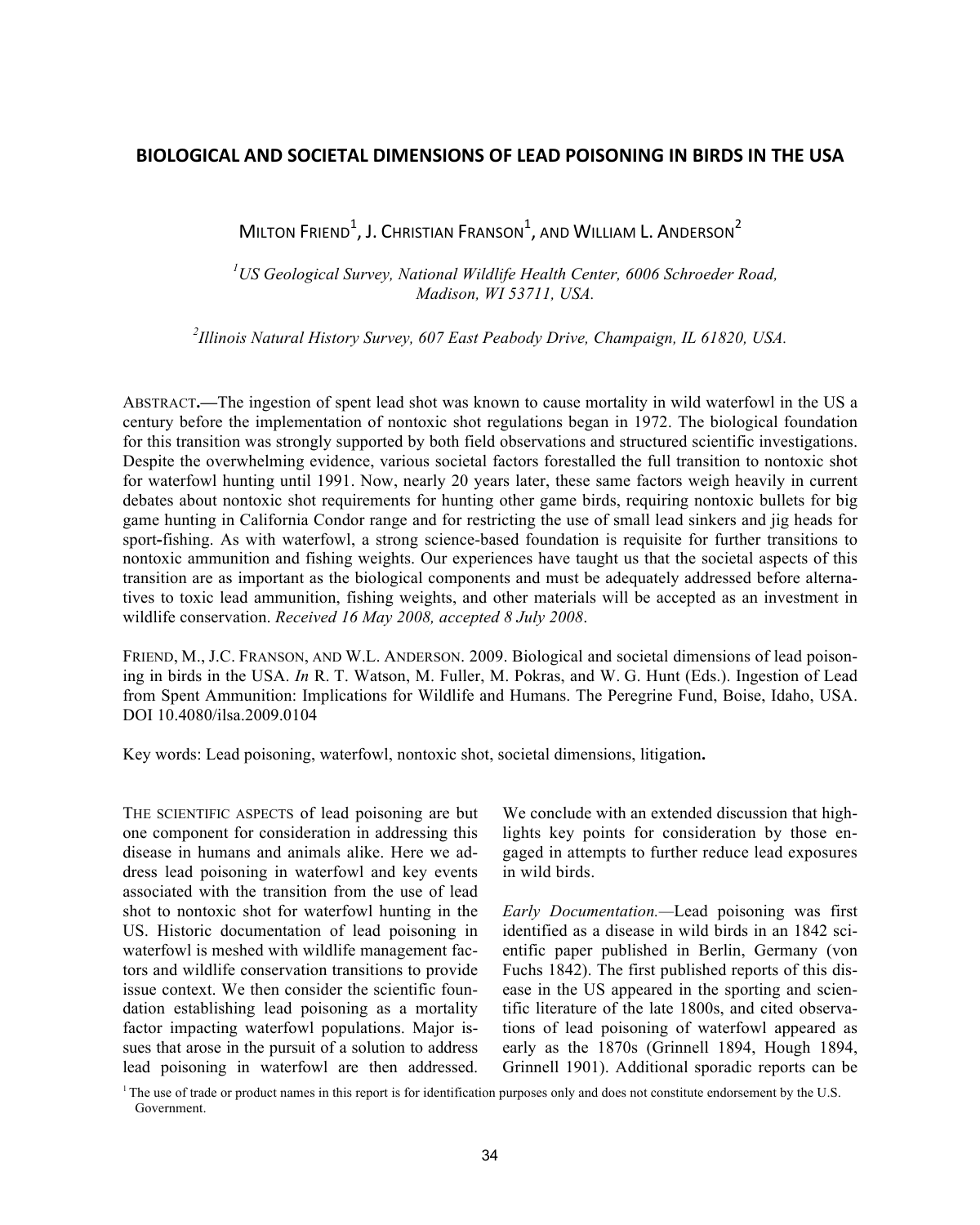## BIOLOGICAL AND SOCIETAL DIMENSIONS OF LEAD POISONING IN BIRDS IN THE USA

Milton Friend $^1$ , J. Christian Franson $^1$ , and William L. Anderson $^2$ 

*1 US Geological Survey, National Wildlife Health Center, 6006 Schroeder Road, Madison, WI 53711, USA.*

*2 Illinois Natural History Survey, 607 East Peabody Drive, Champaign, IL 61820, USA.*

ABSTRACT**.—**The ingestion of spent lead shot was known to cause mortality in wild waterfowl in the US a century before the implementation of nontoxic shot regulations began in 1972. The biological foundation for this transition was strongly supported by both field observations and structured scientific investigations. Despite the overwhelming evidence, various societal factors forestalled the full transition to nontoxic shot for waterfowl hunting until 1991. Now, nearly 20 years later, these same factors weigh heavily in current debates about nontoxic shot requirements for hunting other game birds, requiring nontoxic bullets for big game hunting in California Condor range and for restricting the use of small lead sinkers and jig heads for sport**-**fishing. As with waterfowl, a strong science-based foundation is requisite for further transitions to nontoxic ammunition and fishing weights. Our experiences have taught us that the societal aspects of this transition are as important as the biological components and must be adequately addressed before alternatives to toxic lead ammunition, fishing weights, and other materials will be accepted as an investment in wildlife conservation. *Received 16 May 2008, accepted 8 July 2008*.

FRIEND, M., J.C. FRANSON, AND W.L. ANDERSON. 2009. Biological and societal dimensions of lead poisoning in birds in the USA. *In* R. T. Watson, M. Fuller, M. Pokras, and W. G. Hunt (Eds.). Ingestion of Lead from Spent Ammunition: Implications for Wildlife and Humans. The Peregrine Fund, Boise, Idaho, USA. DOI 10.4080/ilsa.2009.0104

Key words: Lead poisoning, waterfowl, nontoxic shot, societal dimensions, litigation**.**

THE SCIENTIFIC ASPECTS of lead poisoning are but one component for consideration in addressing this disease in humans and animals alike. Here we address lead poisoning in waterfowl and key events associated with the transition from the use of lead shot to nontoxic shot for waterfowl hunting in the US. Historic documentation of lead poisoning in waterfowl is meshed with wildlife management factors and wildlife conservation transitions to provide issue context. We then consider the scientific foundation establishing lead poisoning as a mortality factor impacting waterfowl populations. Major issues that arose in the pursuit of a solution to address lead poisoning in waterfowl are then addressed.

We conclude with an extended discussion that highlights key points for consideration by those engaged in attempts to further reduce lead exposures in wild birds.

*Early Documentation.—*Lead poisoning was first identified as a disease in wild birds in an 1842 scientific paper published in Berlin, Germany (von Fuchs 1842). The first published reports of this disease in the US appeared in the sporting and scientific literature of the late 1800s, and cited observations of lead poisoning of waterfowl appeared as early as the 1870s (Grinnell 1894, Hough 1894, Grinnell 1901). Additional sporadic reports can be

 $1$ <sup>1</sup> The use of trade or product names in this report is for identification purposes only and does not constitute endorsement by the U.S. Government.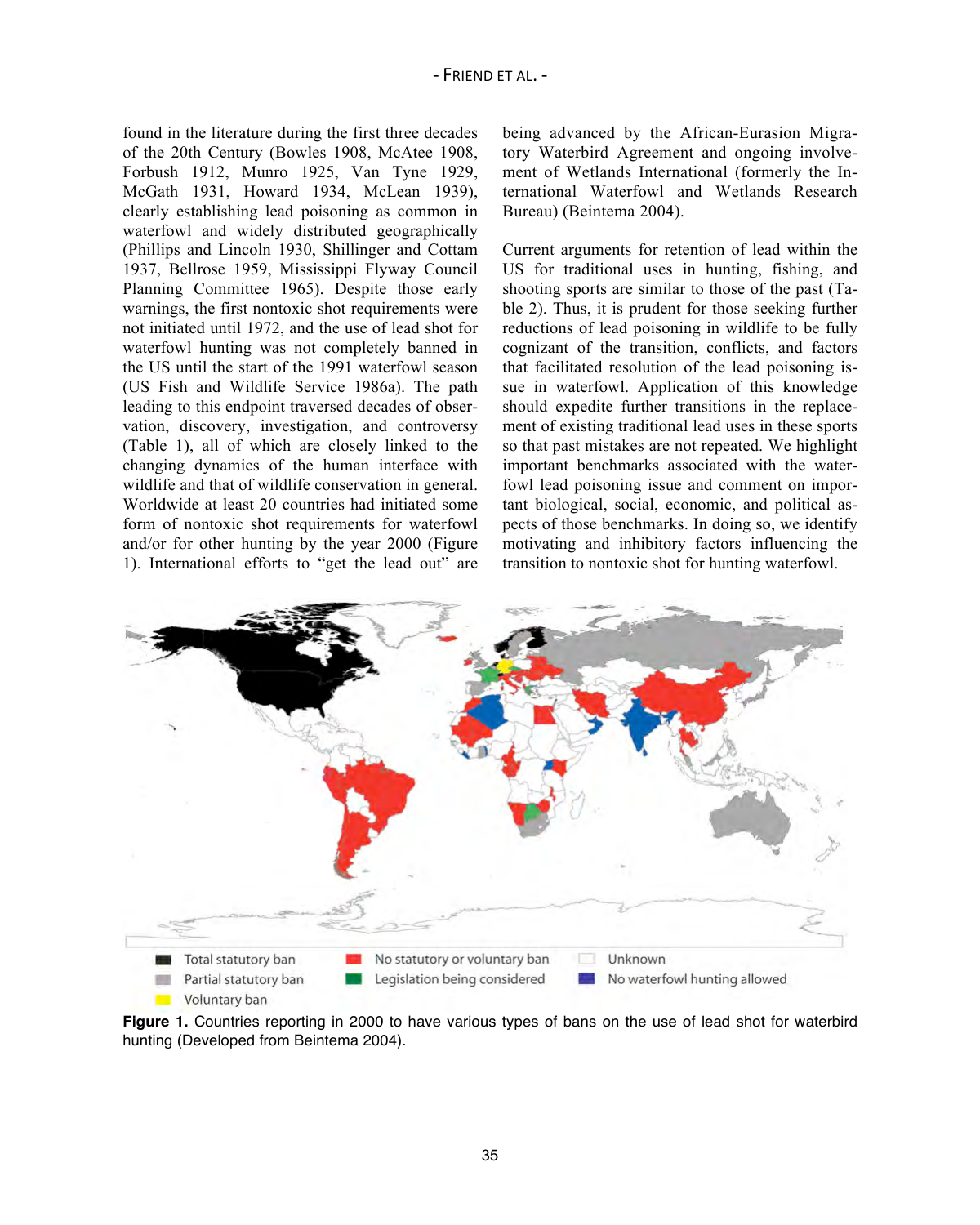found in the literature during the first three decades of the 20th Century (Bowles 1908, McAtee 1908, Forbush 1912, Munro 1925, Van Tyne 1929, McGath 1931, Howard 1934, McLean 1939), clearly establishing lead poisoning as common in waterfowl and widely distributed geographically (Phillips and Lincoln 1930, Shillinger and Cottam 1937, Bellrose 1959, Mississippi Flyway Council Planning Committee 1965). Despite those early warnings, the first nontoxic shot requirements were not initiated until 1972, and the use of lead shot for waterfowl hunting was not completely banned in the US until the start of the 1991 waterfowl season (US Fish and Wildlife Service 1986a). The path leading to this endpoint traversed decades of observation, discovery, investigation, and controversy (Table 1), all of which are closely linked to the changing dynamics of the human interface with wildlife and that of wildlife conservation in general. Worldwide at least 20 countries had initiated some form of nontoxic shot requirements for waterfowl and/or for other hunting by the year 2000 (Figure 1). International efforts to "get the lead out" are being advanced by the African-Eurasion Migratory Waterbird Agreement and ongoing involvement of Wetlands International (formerly the International Waterfowl and Wetlands Research Bureau) (Beintema 2004).

Current arguments for retention of lead within the US for traditional uses in hunting, fishing, and shooting sports are similar to those of the past (Table 2). Thus, it is prudent for those seeking further reductions of lead poisoning in wildlife to be fully cognizant of the transition, conflicts, and factors that facilitated resolution of the lead poisoning issue in waterfowl. Application of this knowledge should expedite further transitions in the replacement of existing traditional lead uses in these sports so that past mistakes are not repeated. We highlight important benchmarks associated with the waterfowl lead poisoning issue and comment on important biological, social, economic, and political aspects of those benchmarks. In doing so, we identify motivating and inhibitory factors influencing the transition to nontoxic shot for hunting waterfowl.



**Figure 1.** Countries reporting in 2000 to have various types of bans on the use of lead shot for waterbird hunting (Developed from Beintema 2004).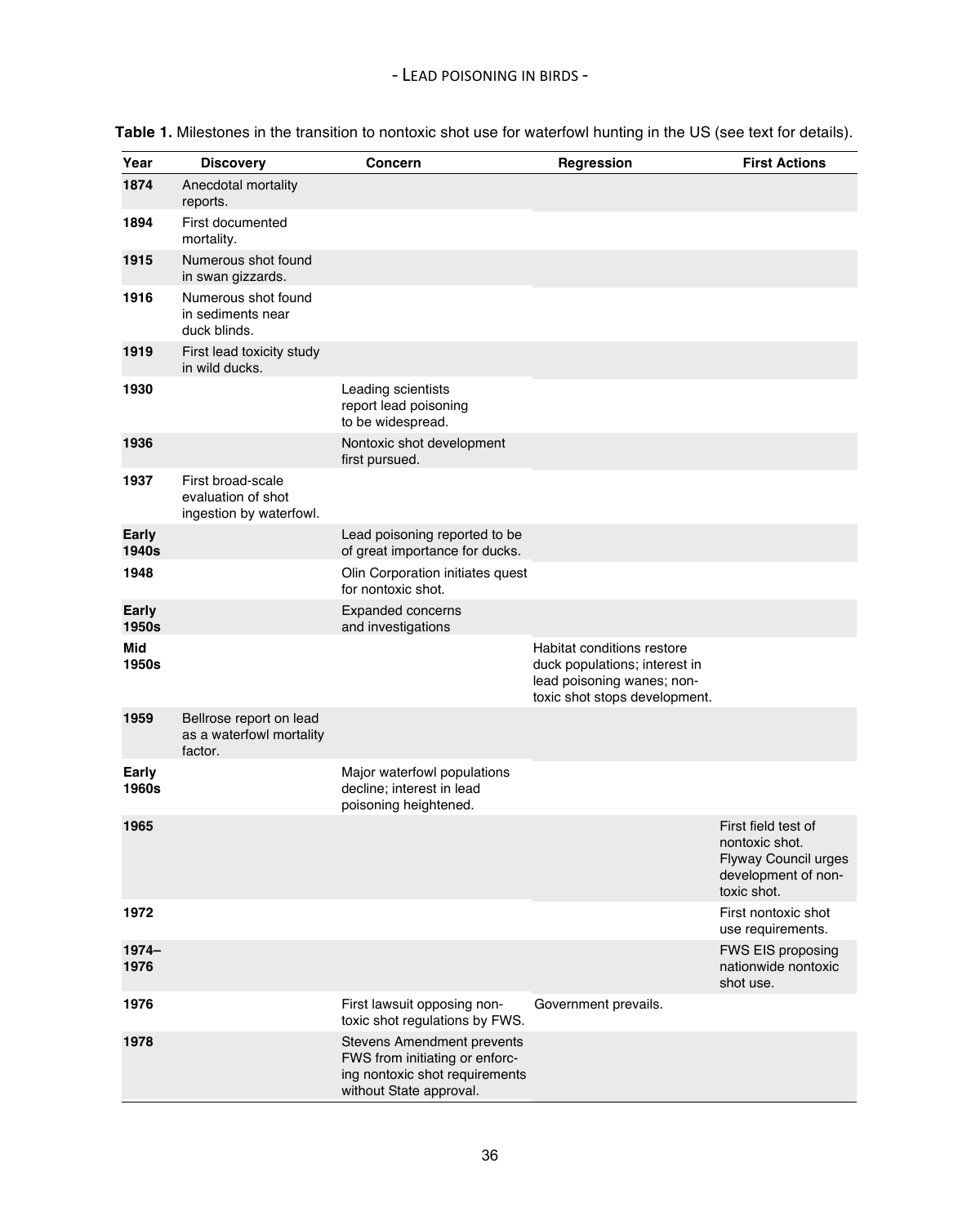| Year                  | <b>Discovery</b>                                                   | Concern                                                                                                                   | Regression                                                                                                                 | <b>First Actions</b>                                                                                       |
|-----------------------|--------------------------------------------------------------------|---------------------------------------------------------------------------------------------------------------------------|----------------------------------------------------------------------------------------------------------------------------|------------------------------------------------------------------------------------------------------------|
| 1874                  | Anecdotal mortality<br>reports.                                    |                                                                                                                           |                                                                                                                            |                                                                                                            |
| 1894                  | First documented<br>mortality.                                     |                                                                                                                           |                                                                                                                            |                                                                                                            |
| 1915                  | Numerous shot found<br>in swan gizzards.                           |                                                                                                                           |                                                                                                                            |                                                                                                            |
| 1916                  | Numerous shot found<br>in sediments near<br>duck blinds.           |                                                                                                                           |                                                                                                                            |                                                                                                            |
| 1919                  | First lead toxicity study<br>in wild ducks.                        |                                                                                                                           |                                                                                                                            |                                                                                                            |
| 1930                  |                                                                    | Leading scientists<br>report lead poisoning<br>to be widespread.                                                          |                                                                                                                            |                                                                                                            |
| 1936                  |                                                                    | Nontoxic shot development<br>first pursued.                                                                               |                                                                                                                            |                                                                                                            |
| 1937                  | First broad-scale<br>evaluation of shot<br>ingestion by waterfowl. |                                                                                                                           |                                                                                                                            |                                                                                                            |
| Early<br>1940s        |                                                                    | Lead poisoning reported to be<br>of great importance for ducks.                                                           |                                                                                                                            |                                                                                                            |
| 1948                  |                                                                    | Olin Corporation initiates quest<br>for nontoxic shot.                                                                    |                                                                                                                            |                                                                                                            |
| <b>Early</b><br>1950s |                                                                    | <b>Expanded concerns</b><br>and investigations                                                                            |                                                                                                                            |                                                                                                            |
| Mid<br>1950s          |                                                                    |                                                                                                                           | Habitat conditions restore<br>duck populations; interest in<br>lead poisoning wanes; non-<br>toxic shot stops development. |                                                                                                            |
| 1959                  | Bellrose report on lead<br>as a waterfowl mortality<br>factor.     |                                                                                                                           |                                                                                                                            |                                                                                                            |
| Early<br>1960s        |                                                                    | Major waterfowl populations<br>decline; interest in lead<br>poisoning heightened.                                         |                                                                                                                            |                                                                                                            |
| 1965                  |                                                                    |                                                                                                                           |                                                                                                                            | First field test of<br>nontoxic shot.<br><b>Flyway Council urges</b><br>development of non-<br>toxic shot. |
| 1972                  |                                                                    |                                                                                                                           |                                                                                                                            | First nontoxic shot<br>use requirements.                                                                   |
| $1974 -$<br>1976      |                                                                    |                                                                                                                           |                                                                                                                            | FWS EIS proposing<br>nationwide nontoxic<br>shot use.                                                      |
| 1976                  |                                                                    | First lawsuit opposing non-<br>toxic shot regulations by FWS.                                                             | Government prevails.                                                                                                       |                                                                                                            |
| 1978                  |                                                                    | Stevens Amendment prevents<br>FWS from initiating or enforc-<br>ing nontoxic shot requirements<br>without State approval. |                                                                                                                            |                                                                                                            |

**Table 1.** Milestones in the transition to nontoxic shot use for waterfowl hunting in the US (see text for details).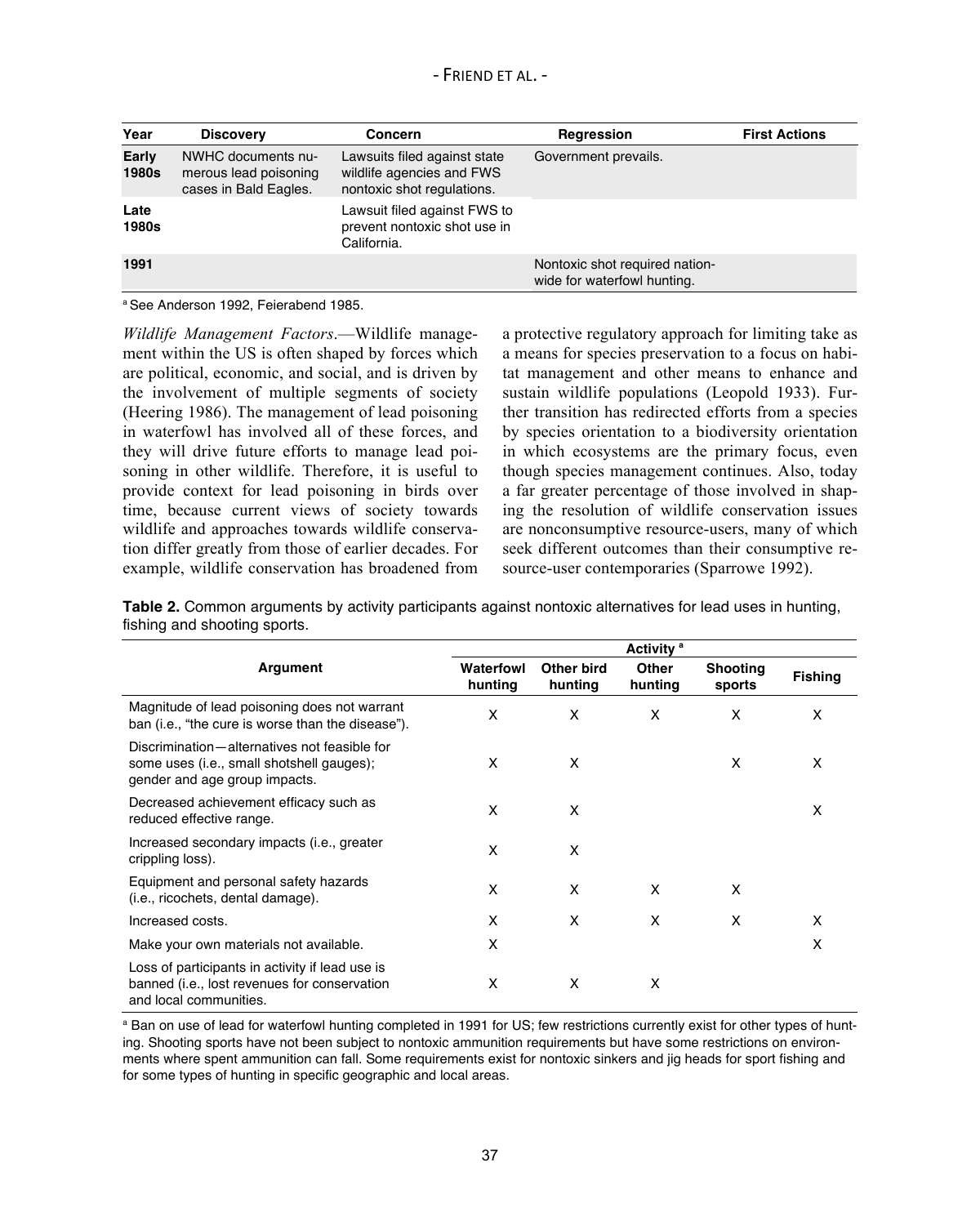| Year           | <b>Discovery</b>                                                     | <b>Concern</b>                                                                          | Regression                                                    | <b>First Actions</b> |
|----------------|----------------------------------------------------------------------|-----------------------------------------------------------------------------------------|---------------------------------------------------------------|----------------------|
| Early<br>1980s | NWHC documents nu-<br>merous lead poisoning<br>cases in Bald Eagles. | Lawsuits filed against state<br>wildlife agencies and FWS<br>nontoxic shot regulations. | Government prevails.                                          |                      |
| Late<br>1980s  |                                                                      | Lawsuit filed against FWS to<br>prevent nontoxic shot use in<br>California.             |                                                               |                      |
| 1991           |                                                                      |                                                                                         | Nontoxic shot required nation-<br>wide for waterfowl hunting. |                      |

<sup>a</sup> See Anderson 1992, Feierabend 1985.

*Wildlife Management Factors*.—Wildlife management within the US is often shaped by forces which are political, economic, and social, and is driven by the involvement of multiple segments of society (Heering 1986). The management of lead poisoning in waterfowl has involved all of these forces, and they will drive future efforts to manage lead poisoning in other wildlife. Therefore, it is useful to provide context for lead poisoning in birds over time, because current views of society towards wildlife and approaches towards wildlife conservation differ greatly from those of earlier decades. For example, wildlife conservation has broadened from

a protective regulatory approach for limiting take as a means for species preservation to a focus on habitat management and other means to enhance and sustain wildlife populations (Leopold 1933). Further transition has redirected efforts from a species by species orientation to a biodiversity orientation in which ecosystems are the primary focus, even though species management continues. Also, today a far greater percentage of those involved in shaping the resolution of wildlife conservation issues are nonconsumptive resource-users, many of which seek different outcomes than their consumptive resource-user contemporaries (Sparrowe 1992).

**Table 2.** Common arguments by activity participants against nontoxic alternatives for lead uses in hunting, fishing and shooting sports.

|                                                                                                                            |                      |                       | Activity <sup>a</sup> |                           |                |
|----------------------------------------------------------------------------------------------------------------------------|----------------------|-----------------------|-----------------------|---------------------------|----------------|
| Argument                                                                                                                   | Waterfowl<br>hunting | Other bird<br>hunting | Other<br>hunting      | <b>Shooting</b><br>sports | <b>Fishing</b> |
| Magnitude of lead poisoning does not warrant<br>ban (i.e., "the cure is worse than the disease").                          | x                    | X                     | X                     | X                         | X              |
| Discrimination-alternatives not feasible for<br>some uses (i.e., small shotshell gauges);<br>gender and age group impacts. | x                    | X                     |                       | X                         | X              |
| Decreased achievement efficacy such as<br>reduced effective range.                                                         | X                    | X                     |                       |                           | X              |
| Increased secondary impacts (i.e., greater<br>crippling loss).                                                             | X                    | X                     |                       |                           |                |
| Equipment and personal safety hazards<br>(i.e., ricochets, dental damage).                                                 | X                    | X                     | X                     | X                         |                |
| Increased costs.                                                                                                           | x                    | X                     | X                     | X                         | X              |
| Make your own materials not available.                                                                                     | x                    |                       |                       |                           | X              |
| Loss of participants in activity if lead use is<br>banned (i.e., lost revenues for conservation<br>and local communities.  | X                    | x                     | x                     |                           |                |

a Ban on use of lead for waterfowl hunting completed in 1991 for US; few restrictions currently exist for other types of hunting. Shooting sports have not been subject to nontoxic ammunition requirements but have some restrictions on environments where spent ammunition can fall. Some requirements exist for nontoxic sinkers and jig heads for sport fishing and for some types of hunting in specific geographic and local areas.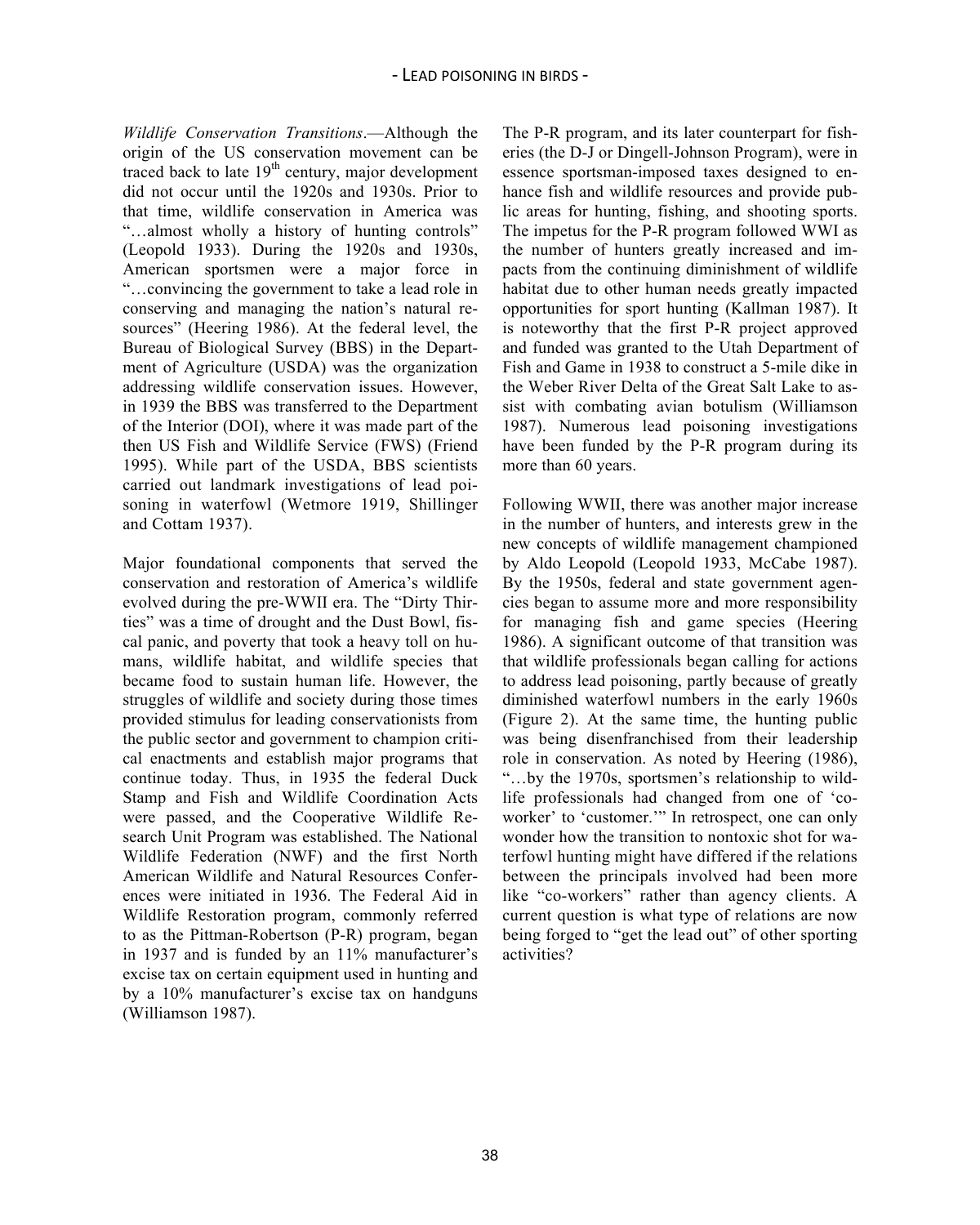*Wildlife Conservation Transitions*.—Although the origin of the US conservation movement can be traced back to late  $19<sup>th</sup>$  century, major development did not occur until the 1920s and 1930s. Prior to that time, wildlife conservation in America was "…almost wholly a history of hunting controls" (Leopold 1933). During the 1920s and 1930s, American sportsmen were a major force in "…convincing the government to take a lead role in conserving and managing the nation's natural resources" (Heering 1986). At the federal level, the Bureau of Biological Survey (BBS) in the Department of Agriculture (USDA) was the organization addressing wildlife conservation issues. However, in 1939 the BBS was transferred to the Department of the Interior (DOI), where it was made part of the then US Fish and Wildlife Service (FWS) (Friend 1995). While part of the USDA, BBS scientists carried out landmark investigations of lead poisoning in waterfowl (Wetmore 1919, Shillinger and Cottam 1937).

Major foundational components that served the conservation and restoration of America's wildlife evolved during the pre-WWII era. The "Dirty Thirties" was a time of drought and the Dust Bowl, fiscal panic, and poverty that took a heavy toll on humans, wildlife habitat, and wildlife species that became food to sustain human life. However, the struggles of wildlife and society during those times provided stimulus for leading conservationists from the public sector and government to champion critical enactments and establish major programs that continue today. Thus, in 1935 the federal Duck Stamp and Fish and Wildlife Coordination Acts were passed, and the Cooperative Wildlife Research Unit Program was established. The National Wildlife Federation (NWF) and the first North American Wildlife and Natural Resources Conferences were initiated in 1936. The Federal Aid in Wildlife Restoration program, commonly referred to as the Pittman-Robertson (P-R) program, began in 1937 and is funded by an 11% manufacturer's excise tax on certain equipment used in hunting and by a 10% manufacturer's excise tax on handguns (Williamson 1987).

The P-R program, and its later counterpart for fisheries (the D-J or Dingell-Johnson Program), were in essence sportsman-imposed taxes designed to enhance fish and wildlife resources and provide public areas for hunting, fishing, and shooting sports. The impetus for the P-R program followed WWI as the number of hunters greatly increased and impacts from the continuing diminishment of wildlife habitat due to other human needs greatly impacted opportunities for sport hunting (Kallman 1987). It is noteworthy that the first P-R project approved and funded was granted to the Utah Department of Fish and Game in 1938 to construct a 5-mile dike in the Weber River Delta of the Great Salt Lake to assist with combating avian botulism (Williamson 1987). Numerous lead poisoning investigations have been funded by the P-R program during its more than 60 years.

Following WWII, there was another major increase in the number of hunters, and interests grew in the new concepts of wildlife management championed by Aldo Leopold (Leopold 1933, McCabe 1987). By the 1950s, federal and state government agencies began to assume more and more responsibility for managing fish and game species (Heering 1986). A significant outcome of that transition was that wildlife professionals began calling for actions to address lead poisoning, partly because of greatly diminished waterfowl numbers in the early 1960s (Figure 2). At the same time, the hunting public was being disenfranchised from their leadership role in conservation. As noted by Heering (1986), "…by the 1970s, sportsmen's relationship to wildlife professionals had changed from one of 'coworker' to 'customer.'" In retrospect, one can only wonder how the transition to nontoxic shot for waterfowl hunting might have differed if the relations between the principals involved had been more like "co-workers" rather than agency clients. A current question is what type of relations are now being forged to "get the lead out" of other sporting activities?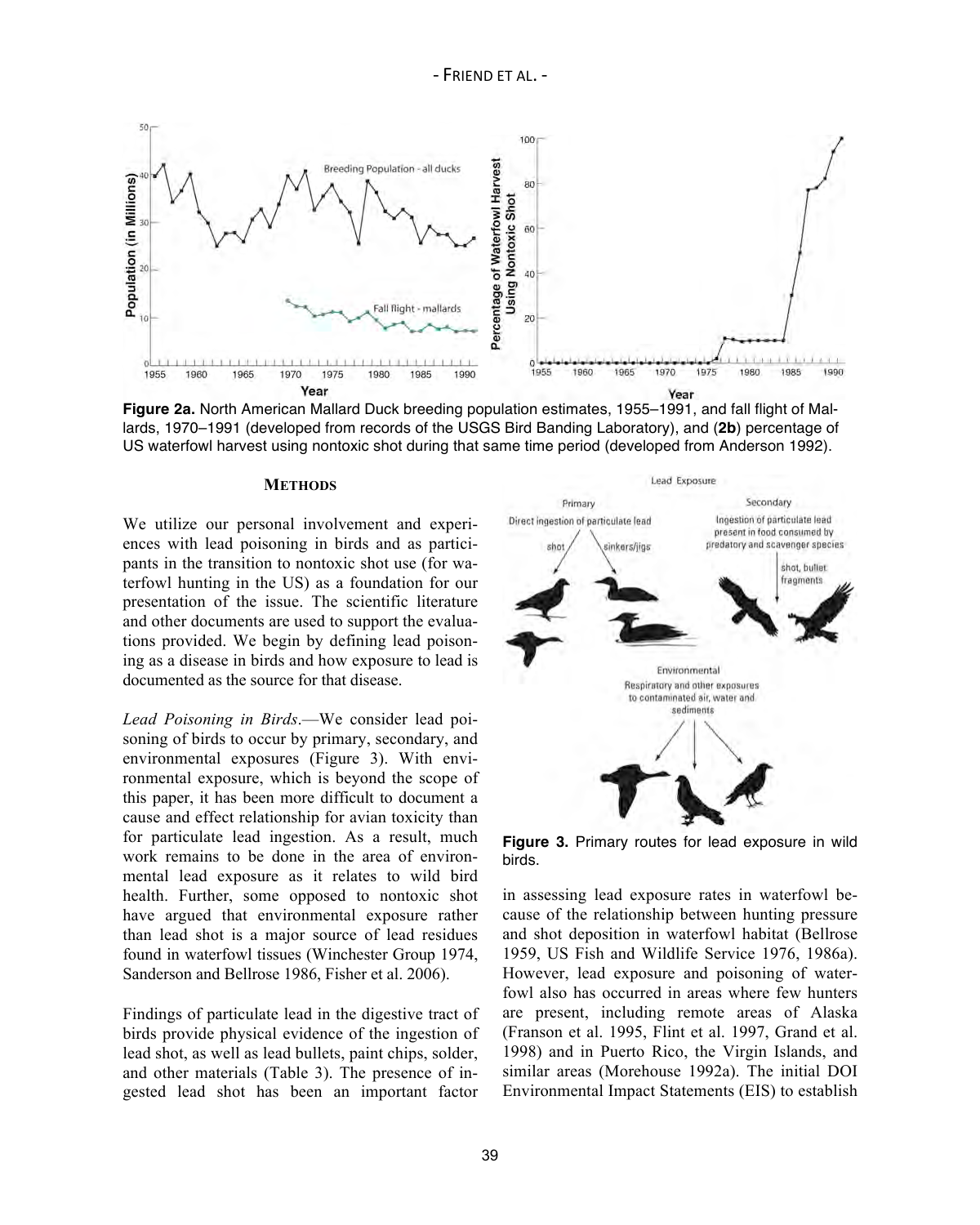

**Figure 2a.** North American Mallard Duck breeding population estimates, 1955–1991, and fall flight of Mallards, 1970–1991 (developed from records of the USGS Bird Banding Laboratory), and (**2b**) percentage of US waterfowl harvest using nontoxic shot during that same time period (developed from Anderson 1992).

## **METHODS**

We utilize our personal involvement and experiences with lead poisoning in birds and as participants in the transition to nontoxic shot use (for waterfowl hunting in the US) as a foundation for our presentation of the issue. The scientific literature and other documents are used to support the evaluations provided. We begin by defining lead poisoning as a disease in birds and how exposure to lead is documented as the source for that disease.

*Lead Poisoning in Birds*.—We consider lead poisoning of birds to occur by primary, secondary, and environmental exposures (Figure 3). With environmental exposure, which is beyond the scope of this paper, it has been more difficult to document a cause and effect relationship for avian toxicity than for particulate lead ingestion. As a result, much work remains to be done in the area of environmental lead exposure as it relates to wild bird health. Further, some opposed to nontoxic shot have argued that environmental exposure rather than lead shot is a major source of lead residues found in waterfowl tissues (Winchester Group 1974, Sanderson and Bellrose 1986, Fisher et al. 2006).

Findings of particulate lead in the digestive tract of birds provide physical evidence of the ingestion of lead shot, as well as lead bullets, paint chips, solder, and other materials (Table 3). The presence of ingested lead shot has been an important factor



**Figure 3.** Primary routes for lead exposure in wild birds.

in assessing lead exposure rates in waterfowl because of the relationship between hunting pressure and shot deposition in waterfowl habitat (Bellrose 1959, US Fish and Wildlife Service 1976, 1986a). However, lead exposure and poisoning of waterfowl also has occurred in areas where few hunters are present, including remote areas of Alaska (Franson et al. 1995, Flint et al. 1997, Grand et al. 1998) and in Puerto Rico, the Virgin Islands, and similar areas (Morehouse 1992a). The initial DOI Environmental Impact Statements (EIS) to establish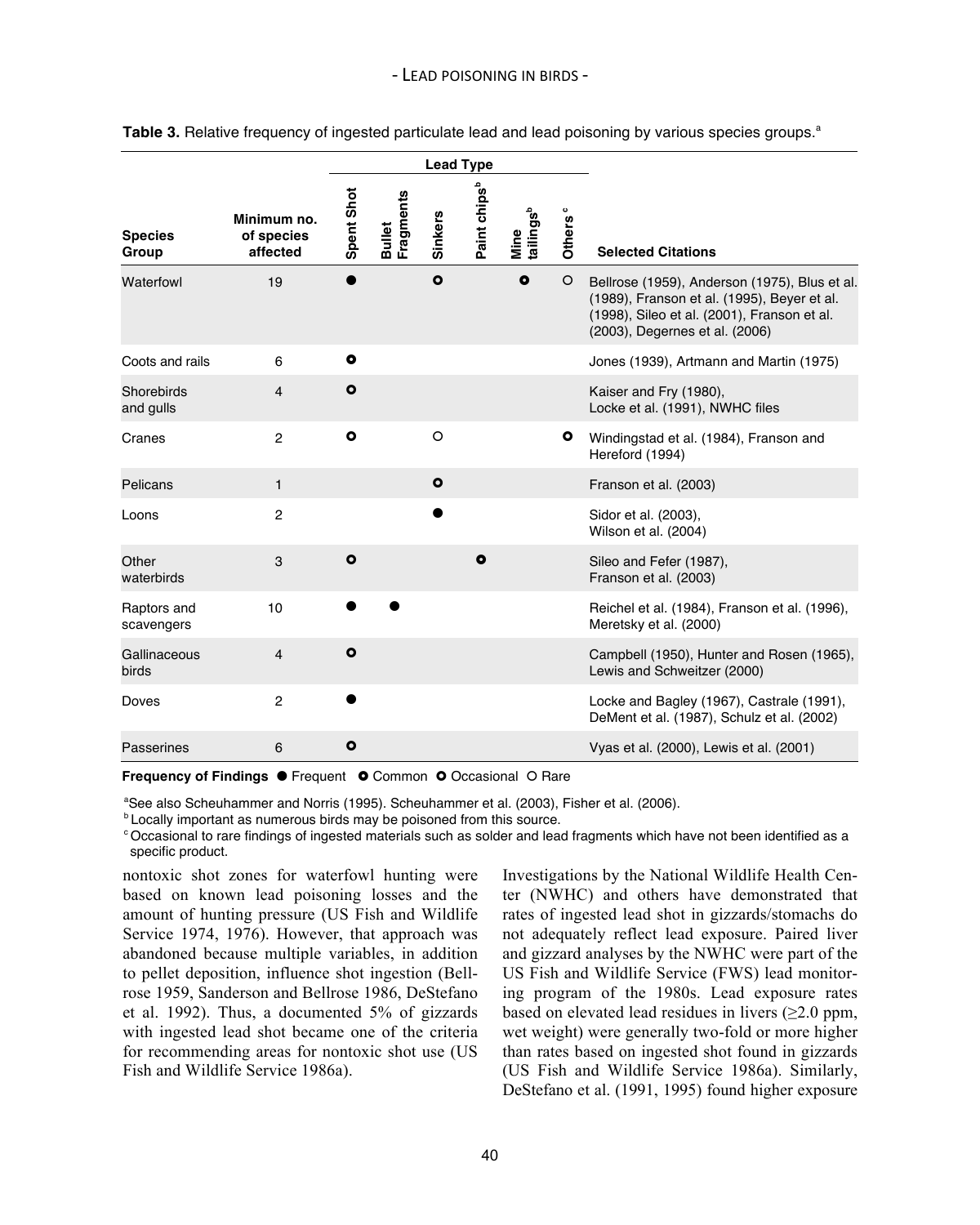|                           |                                       |              |                     |                | <b>Lead Type</b>         |                               |                    |                                                                                                                                                                               |
|---------------------------|---------------------------------------|--------------|---------------------|----------------|--------------------------|-------------------------------|--------------------|-------------------------------------------------------------------------------------------------------------------------------------------------------------------------------|
| <b>Species</b><br>Group   | Minimum no.<br>of species<br>affected | Spent Shot   | Bullet<br>Fragments | <b>Sinkers</b> | Paint chips <sup>b</sup> | tailings <sup>b</sup><br>Mine | ပ<br><b>Others</b> | <b>Selected Citations</b>                                                                                                                                                     |
| Waterfowl                 | 19                                    |              |                     | $\bullet$      |                          | $\bullet$                     | $\circ$            | Bellrose (1959), Anderson (1975), Blus et al.<br>(1989), Franson et al. (1995), Beyer et al.<br>(1998), Sileo et al. (2001), Franson et al.<br>(2003), Degernes et al. (2006) |
| Coots and rails           | 6                                     | $\bullet$    |                     |                |                          |                               |                    | Jones (1939), Artmann and Martin (1975)                                                                                                                                       |
| Shorebirds<br>and gulls   | 4                                     | $\bullet$    |                     |                |                          |                               |                    | Kaiser and Fry (1980),<br>Locke et al. (1991), NWHC files                                                                                                                     |
| Cranes                    | $\overline{2}$                        | $\bullet$    |                     | $\circ$        |                          |                               | $\bullet$          | Windingstad et al. (1984), Franson and<br>Hereford (1994)                                                                                                                     |
| Pelicans                  | $\mathbf{1}$                          |              |                     | $\bullet$      |                          |                               |                    | Franson et al. (2003)                                                                                                                                                         |
| Loons                     | 2                                     |              |                     |                |                          |                               |                    | Sidor et al. (2003),<br>Wilson et al. (2004)                                                                                                                                  |
| Other<br>waterbirds       | 3                                     | $\bullet$    |                     |                | $\bullet$                |                               |                    | Sileo and Fefer (1987),<br>Franson et al. (2003)                                                                                                                              |
| Raptors and<br>scavengers | 10                                    |              |                     |                |                          |                               |                    | Reichel et al. (1984), Franson et al. (1996),<br>Meretsky et al. (2000)                                                                                                       |
| Gallinaceous<br>birds     | $\overline{4}$                        | $\mathbf{o}$ |                     |                |                          |                               |                    | Campbell (1950), Hunter and Rosen (1965),<br>Lewis and Schweitzer (2000)                                                                                                      |
| Doves                     | $\overline{2}$                        |              |                     |                |                          |                               |                    | Locke and Bagley (1967), Castrale (1991),<br>DeMent et al. (1987), Schulz et al. (2002)                                                                                       |
| Passerines                | 6                                     | $\bullet$    |                     |                |                          |                               |                    | Vyas et al. (2000), Lewis et al. (2001)                                                                                                                                       |

**Table 3.** Relative frequency of ingested particulate lead and lead poisoning by various species groups. a

**Frequency of Findings**  $\bullet$  Frequent  $\bullet$  Common  $\bullet$  Occasional O Rare

a See also Scheuhammer and Norris (1995). Scheuhammer et al. (2003), Fisher et al. (2006).

**b Locally important as numerous birds may be poisoned from this source.** 

<sup>c</sup> Occasional to rare findings of ingested materials such as solder and lead fragments which have not been identified as a specific product.

nontoxic shot zones for waterfowl hunting were based on known lead poisoning losses and the amount of hunting pressure (US Fish and Wildlife Service 1974, 1976). However, that approach was abandoned because multiple variables, in addition to pellet deposition, influence shot ingestion (Bellrose 1959, Sanderson and Bellrose 1986, DeStefano et al. 1992). Thus, a documented 5% of gizzards with ingested lead shot became one of the criteria for recommending areas for nontoxic shot use (US Fish and Wildlife Service 1986a).

Investigations by the National Wildlife Health Center (NWHC) and others have demonstrated that rates of ingested lead shot in gizzards/stomachs do not adequately reflect lead exposure. Paired liver and gizzard analyses by the NWHC were part of the US Fish and Wildlife Service (FWS) lead monitoring program of the 1980s. Lead exposure rates based on elevated lead residues in livers  $(\geq 2.0 \text{ ppm},$ wet weight) were generally two-fold or more higher than rates based on ingested shot found in gizzards (US Fish and Wildlife Service 1986a). Similarly, DeStefano et al. (1991, 1995) found higher exposure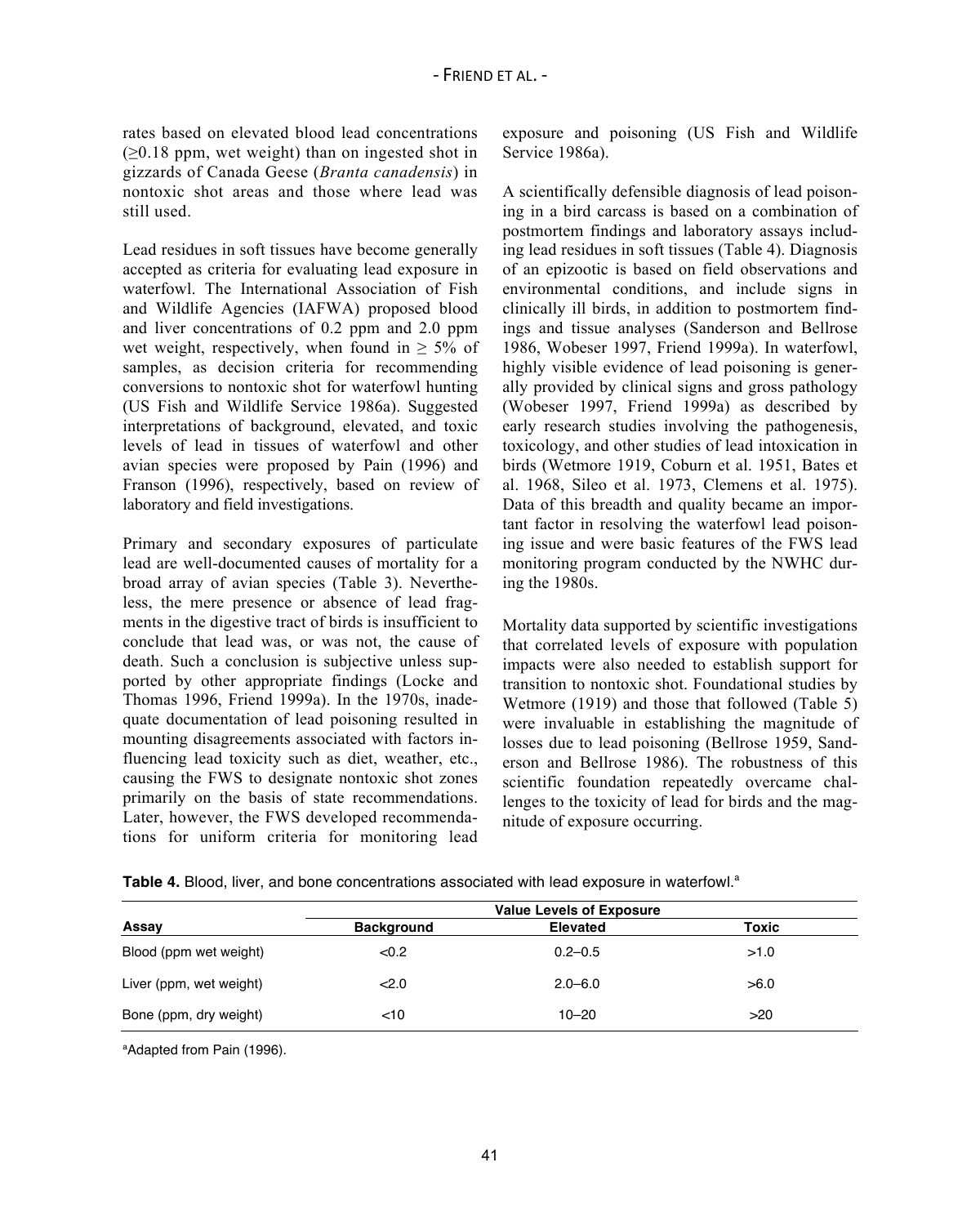rates based on elevated blood lead concentrations  $(\geq 0.18$  ppm, wet weight) than on ingested shot in gizzards of Canada Geese (*Branta canadensis*) in nontoxic shot areas and those where lead was still used.

Lead residues in soft tissues have become generally accepted as criteria for evaluating lead exposure in waterfowl. The International Association of Fish and Wildlife Agencies (IAFWA) proposed blood and liver concentrations of 0.2 ppm and 2.0 ppm wet weight, respectively, when found in  $\geq 5\%$  of samples, as decision criteria for recommending conversions to nontoxic shot for waterfowl hunting (US Fish and Wildlife Service 1986a). Suggested interpretations of background, elevated, and toxic levels of lead in tissues of waterfowl and other avian species were proposed by Pain (1996) and Franson (1996), respectively, based on review of laboratory and field investigations.

Primary and secondary exposures of particulate lead are well-documented causes of mortality for a broad array of avian species (Table 3). Nevertheless, the mere presence or absence of lead fragments in the digestive tract of birds is insufficient to conclude that lead was, or was not, the cause of death. Such a conclusion is subjective unless supported by other appropriate findings (Locke and Thomas 1996, Friend 1999a). In the 1970s, inadequate documentation of lead poisoning resulted in mounting disagreements associated with factors influencing lead toxicity such as diet, weather, etc., causing the FWS to designate nontoxic shot zones primarily on the basis of state recommendations. Later, however, the FWS developed recommendations for uniform criteria for monitoring lead

exposure and poisoning (US Fish and Wildlife Service 1986a).

A scientifically defensible diagnosis of lead poisoning in a bird carcass is based on a combination of postmortem findings and laboratory assays including lead residues in soft tissues (Table 4). Diagnosis of an epizootic is based on field observations and environmental conditions, and include signs in clinically ill birds, in addition to postmortem findings and tissue analyses (Sanderson and Bellrose 1986, Wobeser 1997, Friend 1999a). In waterfowl, highly visible evidence of lead poisoning is generally provided by clinical signs and gross pathology (Wobeser 1997, Friend 1999a) as described by early research studies involving the pathogenesis, toxicology, and other studies of lead intoxication in birds (Wetmore 1919, Coburn et al. 1951, Bates et al. 1968, Sileo et al. 1973, Clemens et al. 1975). Data of this breadth and quality became an important factor in resolving the waterfowl lead poisoning issue and were basic features of the FWS lead monitoring program conducted by the NWHC during the 1980s.

Mortality data supported by scientific investigations that correlated levels of exposure with population impacts were also needed to establish support for transition to nontoxic shot. Foundational studies by Wetmore (1919) and those that followed (Table 5) were invaluable in establishing the magnitude of losses due to lead poisoning (Bellrose 1959, Sanderson and Bellrose 1986). The robustness of this scientific foundation repeatedly overcame challenges to the toxicity of lead for birds and the magnitude of exposure occurring.

| <b>Table 4.</b> Blood, liver, and bone concentrations associated with lead exposure in waterfowl. <sup>a</sup> |  |
|----------------------------------------------------------------------------------------------------------------|--|
|----------------------------------------------------------------------------------------------------------------|--|

|                         | <b>Value Levels of Exposure</b> |                 |       |  |  |  |
|-------------------------|---------------------------------|-----------------|-------|--|--|--|
| Assay                   | <b>Background</b>               | <b>Elevated</b> | Toxic |  |  |  |
| Blood (ppm wet weight)  | < 0.2                           | $0.2 - 0.5$     | >1.0  |  |  |  |
| Liver (ppm, wet weight) | 2.0                             | $2.0 - 6.0$     | >6.0  |  |  |  |
| Bone (ppm, dry weight)  | $<$ 10                          | $10 - 20$       | >20   |  |  |  |

a Adapted from Pain (1996).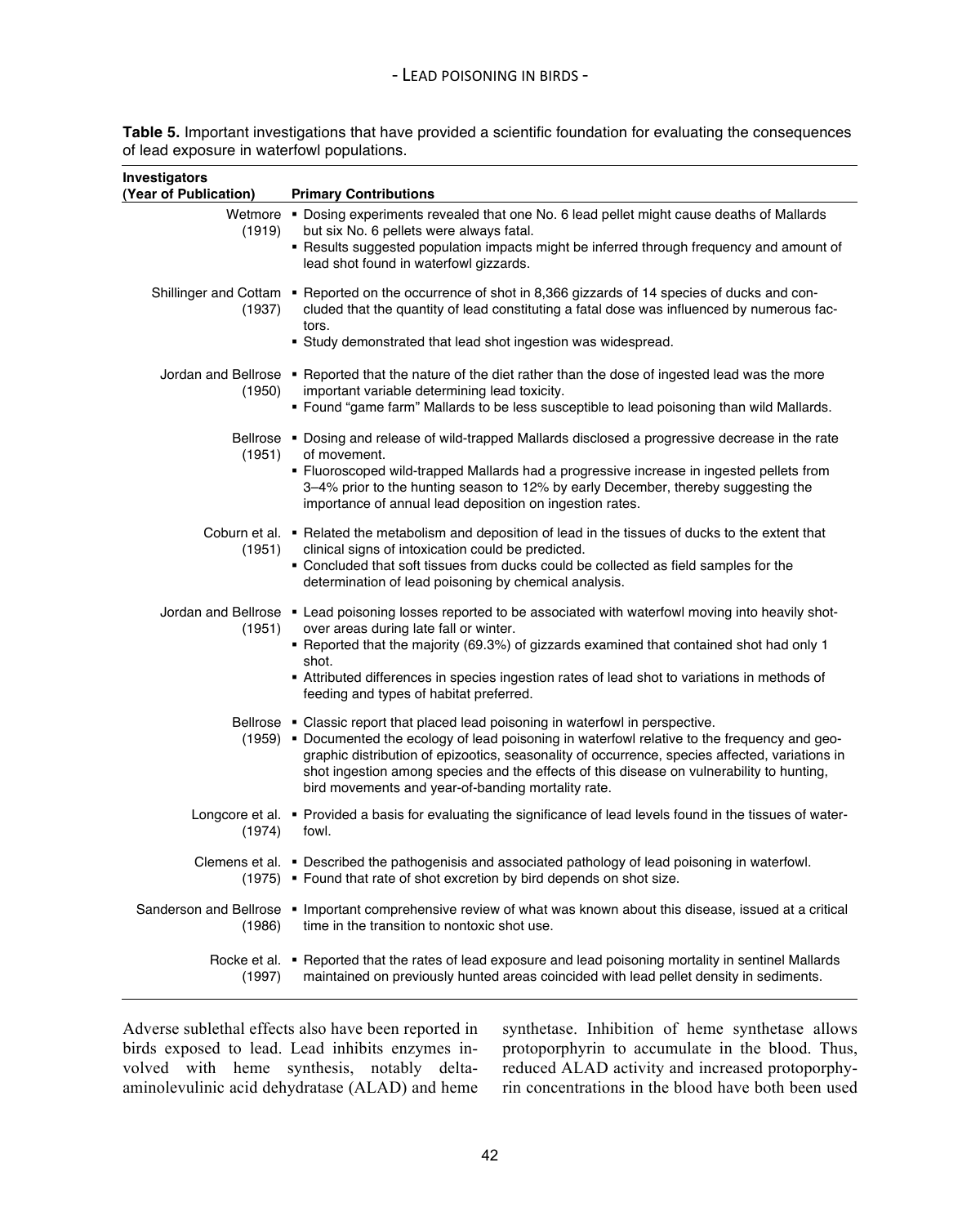|                                            | Table 5. Important investigations that have provided a scientific foundation for evaluating the consequences |
|--------------------------------------------|--------------------------------------------------------------------------------------------------------------|
| of lead exposure in waterfowl populations. |                                                                                                              |

| Investigators         |                                                                                                                                                                                                                                                                                                                                                                                                                                             |
|-----------------------|---------------------------------------------------------------------------------------------------------------------------------------------------------------------------------------------------------------------------------------------------------------------------------------------------------------------------------------------------------------------------------------------------------------------------------------------|
| (Year of Publication) | <b>Primary Contributions</b>                                                                                                                                                                                                                                                                                                                                                                                                                |
| (1919)                | Wetmore • Dosing experiments revealed that one No. 6 lead pellet might cause deaths of Mallards<br>but six No. 6 pellets were always fatal.<br>• Results suggested population impacts might be inferred through frequency and amount of<br>lead shot found in waterfowl gizzards.                                                                                                                                                           |
| (1937)                | Shillinger and Cottam • Reported on the occurrence of shot in 8,366 gizzards of 14 species of ducks and con-<br>cluded that the quantity of lead constituting a fatal dose was influenced by numerous fac-<br>tors.<br>Study demonstrated that lead shot ingestion was widespread.                                                                                                                                                          |
| (1950)                | Jordan and Bellrose • Reported that the nature of the diet rather than the dose of ingested lead was the more<br>important variable determining lead toxicity.<br>• Found "game farm" Mallards to be less susceptible to lead poisoning than wild Mallards.                                                                                                                                                                                 |
| (1951)                | Bellrose • Dosing and release of wild-trapped Mallards disclosed a progressive decrease in the rate<br>of movement.<br>• Fluoroscoped wild-trapped Mallards had a progressive increase in ingested pellets from<br>3-4% prior to the hunting season to 12% by early December, thereby suggesting the<br>importance of annual lead deposition on ingestion rates.                                                                            |
| (1951)                | Coburn et al. • Related the metabolism and deposition of lead in the tissues of ducks to the extent that<br>clinical signs of intoxication could be predicted.<br>• Concluded that soft tissues from ducks could be collected as field samples for the<br>determination of lead poisoning by chemical analysis.                                                                                                                             |
| (1951)                | Jordan and Bellrose • Lead poisoning losses reported to be associated with waterfowl moving into heavily shot-<br>over areas during late fall or winter.<br>• Reported that the majority (69.3%) of gizzards examined that contained shot had only 1<br>shot.<br>Attributed differences in species ingestion rates of lead shot to variations in methods of<br>feeding and types of habitat preferred.                                      |
|                       | Bellrose • Classic report that placed lead poisoning in waterfowl in perspective.<br>(1959) • Documented the ecology of lead poisoning in waterfowl relative to the frequency and geo-<br>graphic distribution of epizootics, seasonality of occurrence, species affected, variations in<br>shot ingestion among species and the effects of this disease on vulnerability to hunting,<br>bird movements and year-of-banding mortality rate. |
| (1974)                | Longcore et al. • Provided a basis for evaluating the significance of lead levels found in the tissues of water-<br>fowl.                                                                                                                                                                                                                                                                                                                   |
|                       | Clemens et al. • Described the pathogenisis and associated pathology of lead poisoning in waterfowl.<br>(1975) • Found that rate of shot excretion by bird depends on shot size.                                                                                                                                                                                                                                                            |
| (1986)                | Sanderson and Bellrose • Important comprehensive review of what was known about this disease, issued at a critical<br>time in the transition to nontoxic shot use.                                                                                                                                                                                                                                                                          |
| (1997)                | Rocke et al. • Reported that the rates of lead exposure and lead poisoning mortality in sentinel Mallards<br>maintained on previously hunted areas coincided with lead pellet density in sediments.                                                                                                                                                                                                                                         |
|                       |                                                                                                                                                                                                                                                                                                                                                                                                                                             |

Adverse sublethal effects also have been reported in birds exposed to lead. Lead inhibits enzymes involved with heme synthesis, notably deltaaminolevulinic acid dehydratase (ALAD) and heme synthetase. Inhibition of heme synthetase allows protoporphyrin to accumulate in the blood. Thus, reduced ALAD activity and increased protoporphyrin concentrations in the blood have both been used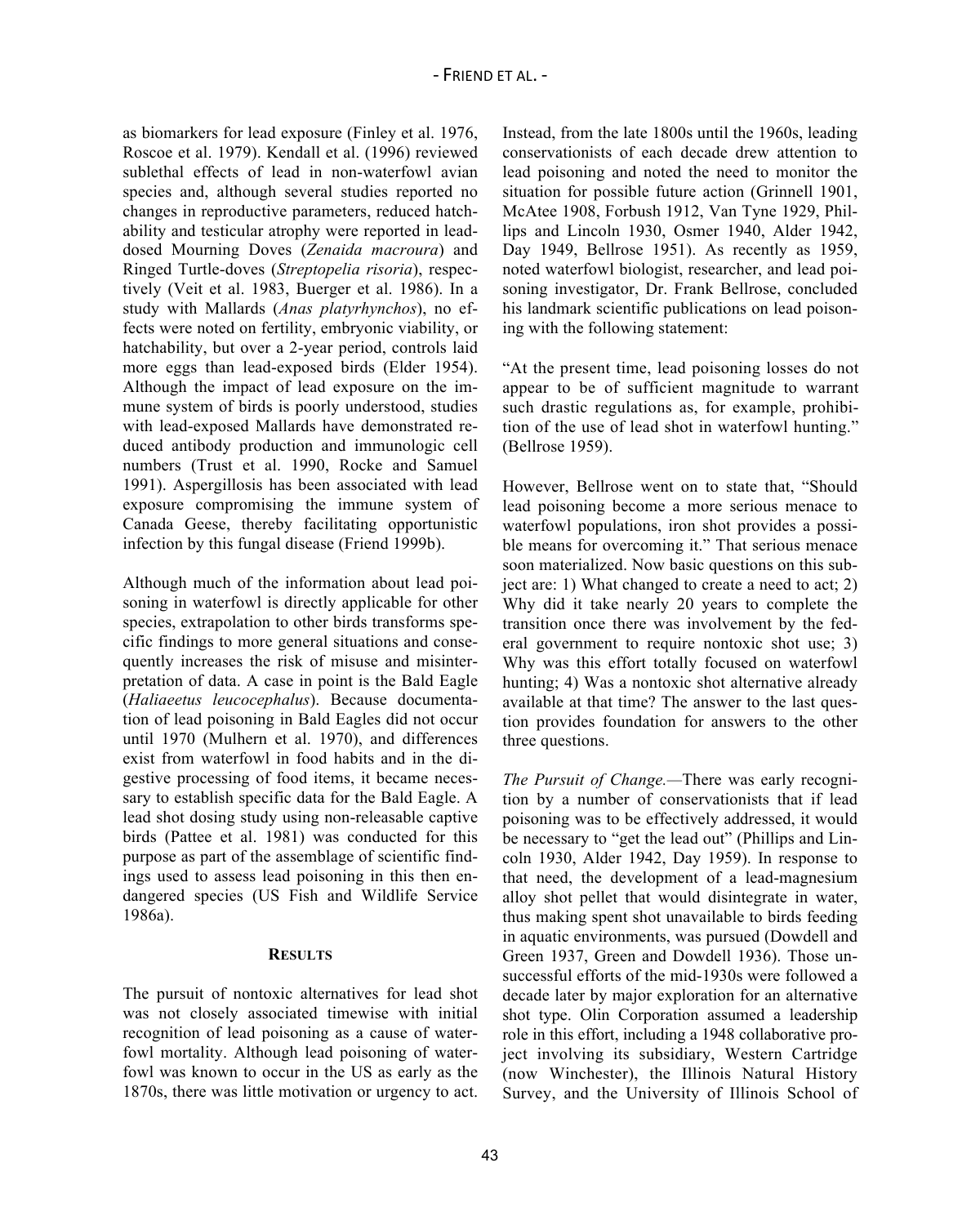as biomarkers for lead exposure (Finley et al. 1976, Roscoe et al. 1979). Kendall et al. (1996) reviewed sublethal effects of lead in non-waterfowl avian species and, although several studies reported no changes in reproductive parameters, reduced hatchability and testicular atrophy were reported in leaddosed Mourning Doves (*Zenaida macroura*) and Ringed Turtle-doves (*Streptopelia risoria*), respectively (Veit et al. 1983, Buerger et al. 1986). In a study with Mallards (*Anas platyrhynchos*), no effects were noted on fertility, embryonic viability, or hatchability, but over a 2-year period, controls laid more eggs than lead-exposed birds (Elder 1954). Although the impact of lead exposure on the immune system of birds is poorly understood, studies with lead-exposed Mallards have demonstrated reduced antibody production and immunologic cell numbers (Trust et al. 1990, Rocke and Samuel 1991). Aspergillosis has been associated with lead exposure compromising the immune system of Canada Geese, thereby facilitating opportunistic infection by this fungal disease (Friend 1999b).

Although much of the information about lead poisoning in waterfowl is directly applicable for other species, extrapolation to other birds transforms specific findings to more general situations and consequently increases the risk of misuse and misinterpretation of data. A case in point is the Bald Eagle (*Haliaeetus leucocephalus*). Because documentation of lead poisoning in Bald Eagles did not occur until 1970 (Mulhern et al. 1970), and differences exist from waterfowl in food habits and in the digestive processing of food items, it became necessary to establish specific data for the Bald Eagle. A lead shot dosing study using non-releasable captive birds (Pattee et al. 1981) was conducted for this purpose as part of the assemblage of scientific findings used to assess lead poisoning in this then endangered species (US Fish and Wildlife Service 1986a).

## **RESULTS**

The pursuit of nontoxic alternatives for lead shot was not closely associated timewise with initial recognition of lead poisoning as a cause of waterfowl mortality. Although lead poisoning of waterfowl was known to occur in the US as early as the 1870s, there was little motivation or urgency to act. Instead, from the late 1800s until the 1960s, leading conservationists of each decade drew attention to lead poisoning and noted the need to monitor the situation for possible future action (Grinnell 1901, McAtee 1908, Forbush 1912, Van Tyne 1929, Phillips and Lincoln 1930, Osmer 1940, Alder 1942, Day 1949, Bellrose 1951). As recently as 1959, noted waterfowl biologist, researcher, and lead poisoning investigator, Dr. Frank Bellrose, concluded his landmark scientific publications on lead poisoning with the following statement:

"At the present time, lead poisoning losses do not appear to be of sufficient magnitude to warrant such drastic regulations as, for example, prohibition of the use of lead shot in waterfowl hunting." (Bellrose 1959).

However, Bellrose went on to state that, "Should lead poisoning become a more serious menace to waterfowl populations, iron shot provides a possible means for overcoming it." That serious menace soon materialized. Now basic questions on this subject are: 1) What changed to create a need to act; 2) Why did it take nearly 20 years to complete the transition once there was involvement by the federal government to require nontoxic shot use; 3) Why was this effort totally focused on waterfowl hunting; 4) Was a nontoxic shot alternative already available at that time? The answer to the last question provides foundation for answers to the other three questions.

*The Pursuit of Change.—*There was early recognition by a number of conservationists that if lead poisoning was to be effectively addressed, it would be necessary to "get the lead out" (Phillips and Lincoln 1930, Alder 1942, Day 1959). In response to that need, the development of a lead-magnesium alloy shot pellet that would disintegrate in water, thus making spent shot unavailable to birds feeding in aquatic environments, was pursued (Dowdell and Green 1937, Green and Dowdell 1936). Those unsuccessful efforts of the mid-1930s were followed a decade later by major exploration for an alternative shot type. Olin Corporation assumed a leadership role in this effort, including a 1948 collaborative project involving its subsidiary, Western Cartridge (now Winchester), the Illinois Natural History Survey, and the University of Illinois School of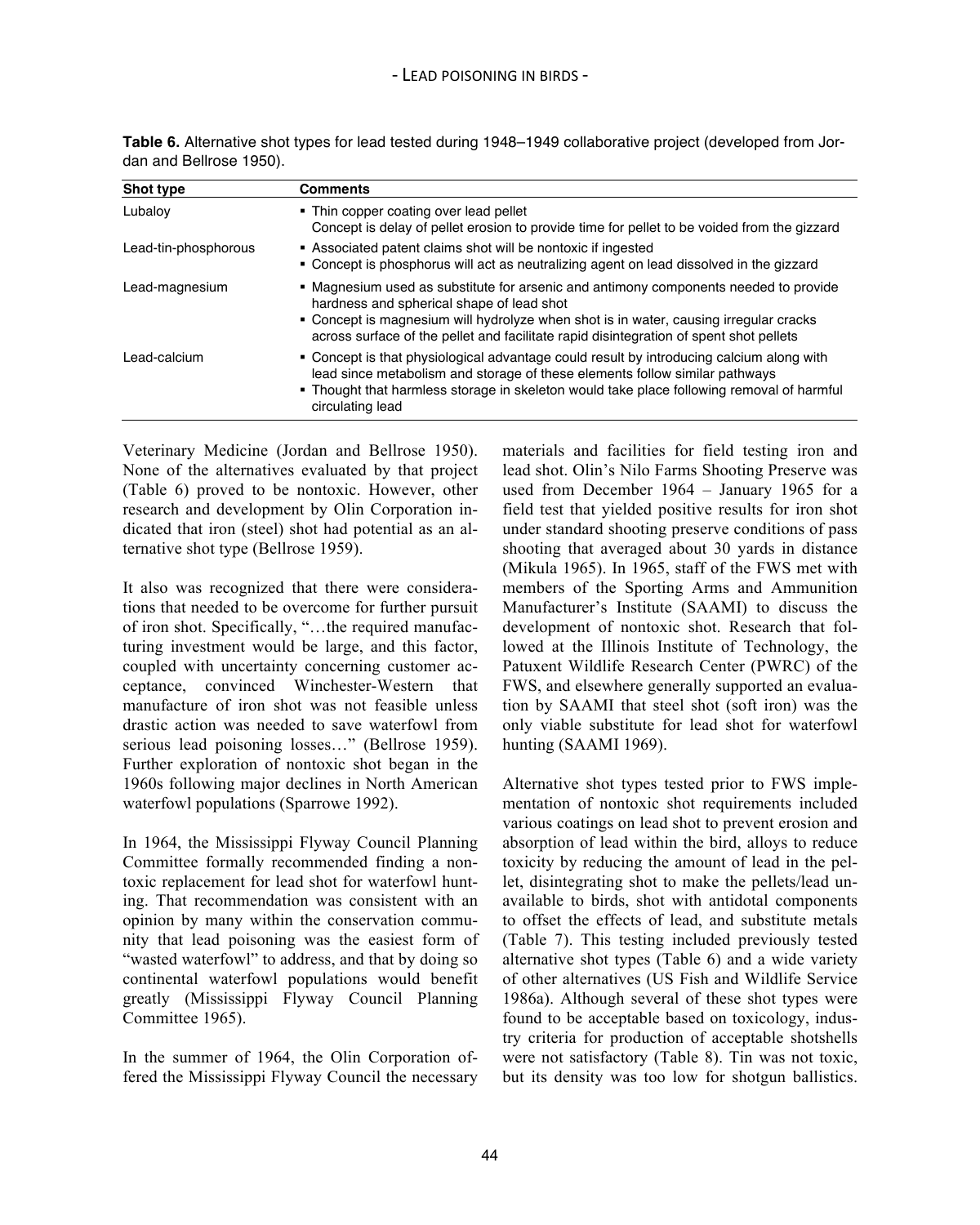| Shot type            | <b>Comments</b>                                                                                                                                                                                                                                                                                                      |
|----------------------|----------------------------------------------------------------------------------------------------------------------------------------------------------------------------------------------------------------------------------------------------------------------------------------------------------------------|
| Lubaloy              | • Thin copper coating over lead pellet<br>Concept is delay of pellet erosion to provide time for pellet to be voided from the gizzard                                                                                                                                                                                |
| Lead-tin-phosphorous | Associated patent claims shot will be nontoxic if ingested<br>• Concept is phosphorus will act as neutralizing agent on lead dissolved in the gizzard                                                                                                                                                                |
| Lead-magnesium       | • Magnesium used as substitute for arsenic and antimony components needed to provide<br>hardness and spherical shape of lead shot<br>• Concept is magnesium will hydrolyze when shot is in water, causing irregular cracks<br>across surface of the pellet and facilitate rapid disintegration of spent shot pellets |
| Lead-calcium         | • Concept is that physiological advantage could result by introducing calcium along with<br>lead since metabolism and storage of these elements follow similar pathways<br>• Thought that harmless storage in skeleton would take place following removal of harmful<br>circulating lead                             |

**Table 6.** Alternative shot types for lead tested during 1948–1949 collaborative project (developed from Jordan and Bellrose 1950).

Veterinary Medicine (Jordan and Bellrose 1950). None of the alternatives evaluated by that project (Table 6) proved to be nontoxic. However, other research and development by Olin Corporation indicated that iron (steel) shot had potential as an alternative shot type (Bellrose 1959).

It also was recognized that there were considerations that needed to be overcome for further pursuit of iron shot. Specifically, "…the required manufacturing investment would be large, and this factor, coupled with uncertainty concerning customer acceptance, convinced Winchester-Western that manufacture of iron shot was not feasible unless drastic action was needed to save waterfowl from serious lead poisoning losses…" (Bellrose 1959). Further exploration of nontoxic shot began in the 1960s following major declines in North American waterfowl populations (Sparrowe 1992).

In 1964, the Mississippi Flyway Council Planning Committee formally recommended finding a nontoxic replacement for lead shot for waterfowl hunting. That recommendation was consistent with an opinion by many within the conservation community that lead poisoning was the easiest form of "wasted waterfowl" to address, and that by doing so continental waterfowl populations would benefit greatly (Mississippi Flyway Council Planning Committee 1965).

In the summer of 1964, the Olin Corporation offered the Mississippi Flyway Council the necessary materials and facilities for field testing iron and lead shot. Olin's Nilo Farms Shooting Preserve was used from December 1964 – January 1965 for a field test that yielded positive results for iron shot under standard shooting preserve conditions of pass shooting that averaged about 30 yards in distance (Mikula 1965). In 1965, staff of the FWS met with members of the Sporting Arms and Ammunition Manufacturer's Institute (SAAMI) to discuss the development of nontoxic shot. Research that followed at the Illinois Institute of Technology, the Patuxent Wildlife Research Center (PWRC) of the FWS, and elsewhere generally supported an evaluation by SAAMI that steel shot (soft iron) was the only viable substitute for lead shot for waterfowl hunting (SAAMI 1969).

Alternative shot types tested prior to FWS implementation of nontoxic shot requirements included various coatings on lead shot to prevent erosion and absorption of lead within the bird, alloys to reduce toxicity by reducing the amount of lead in the pellet, disintegrating shot to make the pellets/lead unavailable to birds, shot with antidotal components to offset the effects of lead, and substitute metals (Table 7). This testing included previously tested alternative shot types (Table 6) and a wide variety of other alternatives (US Fish and Wildlife Service 1986a). Although several of these shot types were found to be acceptable based on toxicology, industry criteria for production of acceptable shotshells were not satisfactory (Table 8). Tin was not toxic, but its density was too low for shotgun ballistics.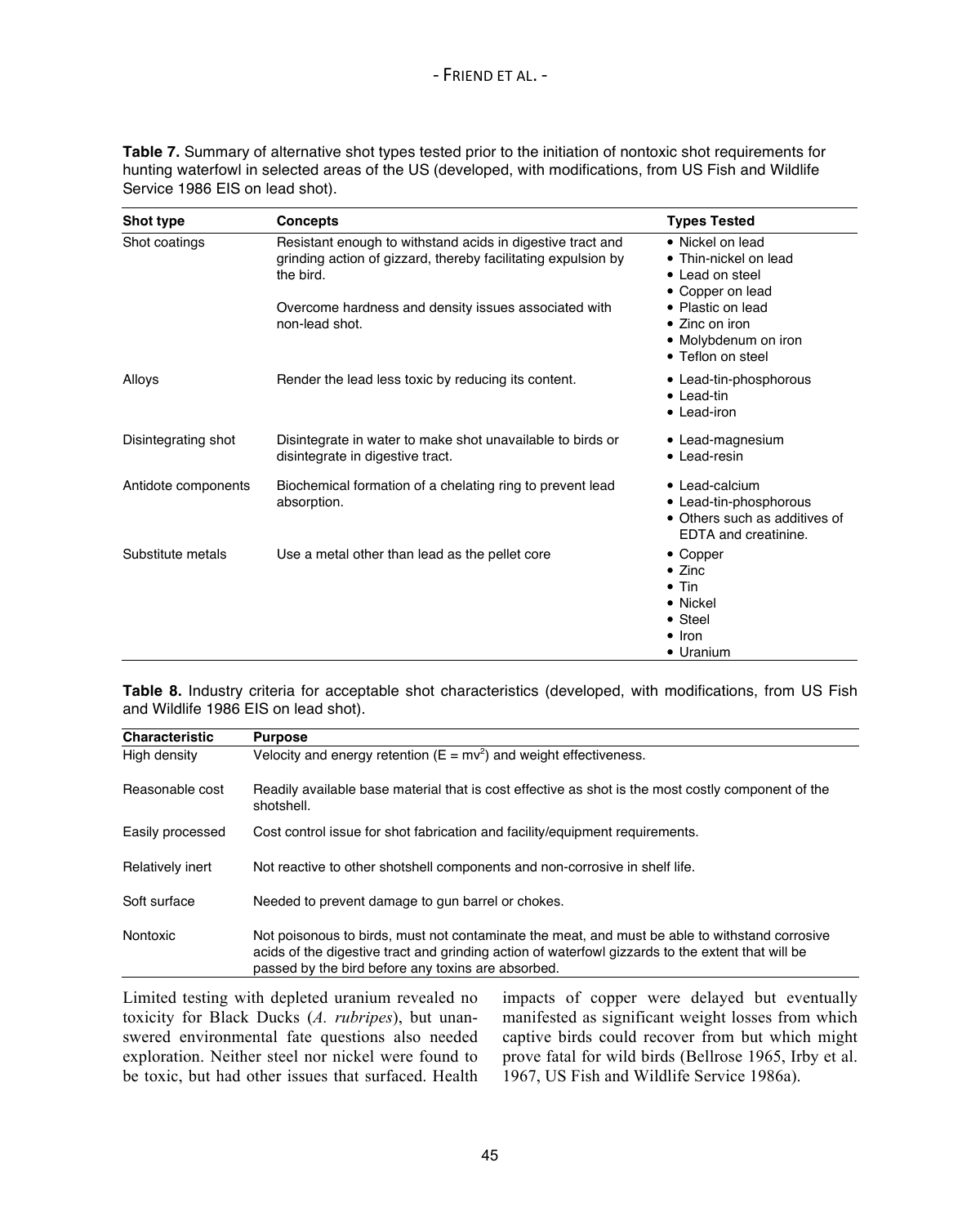**Table 7.** Summary of alternative shot types tested prior to the initiation of nontoxic shot requirements for hunting waterfowl in selected areas of the US (developed, with modifications, from US Fish and Wildlife Service 1986 EIS on lead shot).

| Shot type           | <b>Concepts</b>                                                                                                                          | <b>Types Tested</b>                                                                                       |
|---------------------|------------------------------------------------------------------------------------------------------------------------------------------|-----------------------------------------------------------------------------------------------------------|
| Shot coatings       | Resistant enough to withstand acids in digestive tract and<br>grinding action of gizzard, thereby facilitating expulsion by<br>the bird. | • Nickel on lead<br>• Thin-nickel on lead<br>• Lead on steel<br>• Copper on lead                          |
|                     | Overcome hardness and density issues associated with<br>non-lead shot.                                                                   | • Plastic on lead<br>$\bullet$ Zinc on iron<br>• Molybdenum on iron<br>• Teflon on steel                  |
| Alloys              | Render the lead less toxic by reducing its content.                                                                                      | • Lead-tin-phosphorous<br>$\bullet$ Lead-tin<br>• Lead-iron                                               |
| Disintegrating shot | Disintegrate in water to make shot unavailable to birds or<br>disintegrate in digestive tract.                                           | • Lead-magnesium<br>• Lead-resin                                                                          |
| Antidote components | Biochemical formation of a chelating ring to prevent lead<br>absorption.                                                                 | $\bullet$ Lead-calcium<br>• Lead-tin-phosphorous<br>• Others such as additives of<br>EDTA and creatinine. |
| Substitute metals   | Use a metal other than lead as the pellet core                                                                                           | $\bullet$ Copper<br>$\bullet$ Zinc<br>$\bullet$ Tin<br>• Nickel<br>• Steel<br>$\bullet$ Iron<br>• Uranium |

**Table 8.** Industry criteria for acceptable shot characteristics (developed, with modifications, from US Fish and Wildlife 1986 EIS on lead shot).

| <b>Characteristic</b> | <b>Purpose</b>                                                                                                                                                                                                                                            |
|-----------------------|-----------------------------------------------------------------------------------------------------------------------------------------------------------------------------------------------------------------------------------------------------------|
| High density          | Velocity and energy retention ( $E = mv^2$ ) and weight effectiveness.                                                                                                                                                                                    |
| Reasonable cost       | Readily available base material that is cost effective as shot is the most costly component of the<br>shotshell.                                                                                                                                          |
| Easily processed      | Cost control issue for shot fabrication and facility/equipment requirements.                                                                                                                                                                              |
| Relatively inert      | Not reactive to other shotshell components and non-corrosive in shelf life.                                                                                                                                                                               |
| Soft surface          | Needed to prevent damage to gun barrel or chokes.                                                                                                                                                                                                         |
| <b>Nontoxic</b>       | Not poisonous to birds, must not contaminate the meat, and must be able to withstand corrosive<br>acids of the digestive tract and grinding action of waterfowl gizzards to the extent that will be<br>passed by the bird before any toxins are absorbed. |

Limited testing with depleted uranium revealed no toxicity for Black Ducks (*A. rubripes*), but unanswered environmental fate questions also needed exploration. Neither steel nor nickel were found to be toxic, but had other issues that surfaced. Health impacts of copper were delayed but eventually manifested as significant weight losses from which captive birds could recover from but which might prove fatal for wild birds (Bellrose 1965, Irby et al. 1967, US Fish and Wildlife Service 1986a).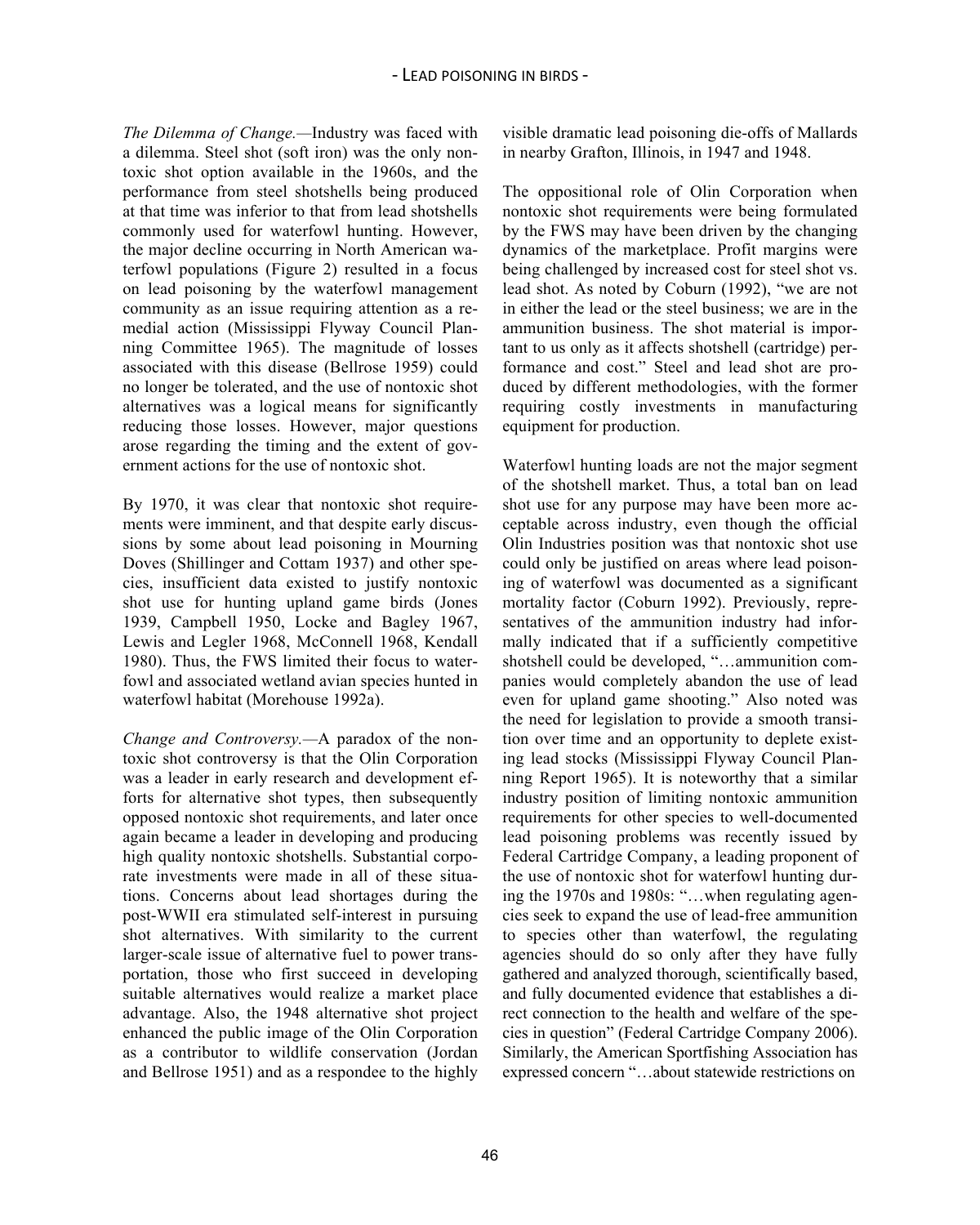*The Dilemma of Change.—*Industry was faced with a dilemma. Steel shot (soft iron) was the only nontoxic shot option available in the 1960s, and the performance from steel shotshells being produced at that time was inferior to that from lead shotshells commonly used for waterfowl hunting. However, the major decline occurring in North American waterfowl populations (Figure 2) resulted in a focus on lead poisoning by the waterfowl management community as an issue requiring attention as a remedial action (Mississippi Flyway Council Planning Committee 1965). The magnitude of losses associated with this disease (Bellrose 1959) could no longer be tolerated, and the use of nontoxic shot alternatives was a logical means for significantly reducing those losses. However, major questions arose regarding the timing and the extent of government actions for the use of nontoxic shot.

By 1970, it was clear that nontoxic shot requirements were imminent, and that despite early discussions by some about lead poisoning in Mourning Doves (Shillinger and Cottam 1937) and other species, insufficient data existed to justify nontoxic shot use for hunting upland game birds (Jones 1939, Campbell 1950, Locke and Bagley 1967, Lewis and Legler 1968, McConnell 1968, Kendall 1980). Thus, the FWS limited their focus to waterfowl and associated wetland avian species hunted in waterfowl habitat (Morehouse 1992a).

*Change and Controversy.—*A paradox of the nontoxic shot controversy is that the Olin Corporation was a leader in early research and development efforts for alternative shot types, then subsequently opposed nontoxic shot requirements, and later once again became a leader in developing and producing high quality nontoxic shotshells. Substantial corporate investments were made in all of these situations. Concerns about lead shortages during the post-WWII era stimulated self-interest in pursuing shot alternatives. With similarity to the current larger-scale issue of alternative fuel to power transportation, those who first succeed in developing suitable alternatives would realize a market place advantage. Also, the 1948 alternative shot project enhanced the public image of the Olin Corporation as a contributor to wildlife conservation (Jordan and Bellrose 1951) and as a respondee to the highly visible dramatic lead poisoning die-offs of Mallards in nearby Grafton, Illinois, in 1947 and 1948.

The oppositional role of Olin Corporation when nontoxic shot requirements were being formulated by the FWS may have been driven by the changing dynamics of the marketplace. Profit margins were being challenged by increased cost for steel shot vs. lead shot. As noted by Coburn (1992), "we are not in either the lead or the steel business; we are in the ammunition business. The shot material is important to us only as it affects shotshell (cartridge) performance and cost." Steel and lead shot are produced by different methodologies, with the former requiring costly investments in manufacturing equipment for production.

Waterfowl hunting loads are not the major segment of the shotshell market. Thus, a total ban on lead shot use for any purpose may have been more acceptable across industry, even though the official Olin Industries position was that nontoxic shot use could only be justified on areas where lead poisoning of waterfowl was documented as a significant mortality factor (Coburn 1992). Previously, representatives of the ammunition industry had informally indicated that if a sufficiently competitive shotshell could be developed, "…ammunition companies would completely abandon the use of lead even for upland game shooting." Also noted was the need for legislation to provide a smooth transition over time and an opportunity to deplete existing lead stocks (Mississippi Flyway Council Planning Report 1965). It is noteworthy that a similar industry position of limiting nontoxic ammunition requirements for other species to well-documented lead poisoning problems was recently issued by Federal Cartridge Company, a leading proponent of the use of nontoxic shot for waterfowl hunting during the 1970s and 1980s: "…when regulating agencies seek to expand the use of lead-free ammunition to species other than waterfowl, the regulating agencies should do so only after they have fully gathered and analyzed thorough, scientifically based, and fully documented evidence that establishes a direct connection to the health and welfare of the species in question" (Federal Cartridge Company 2006). Similarly, the American Sportfishing Association has expressed concern "…about statewide restrictions on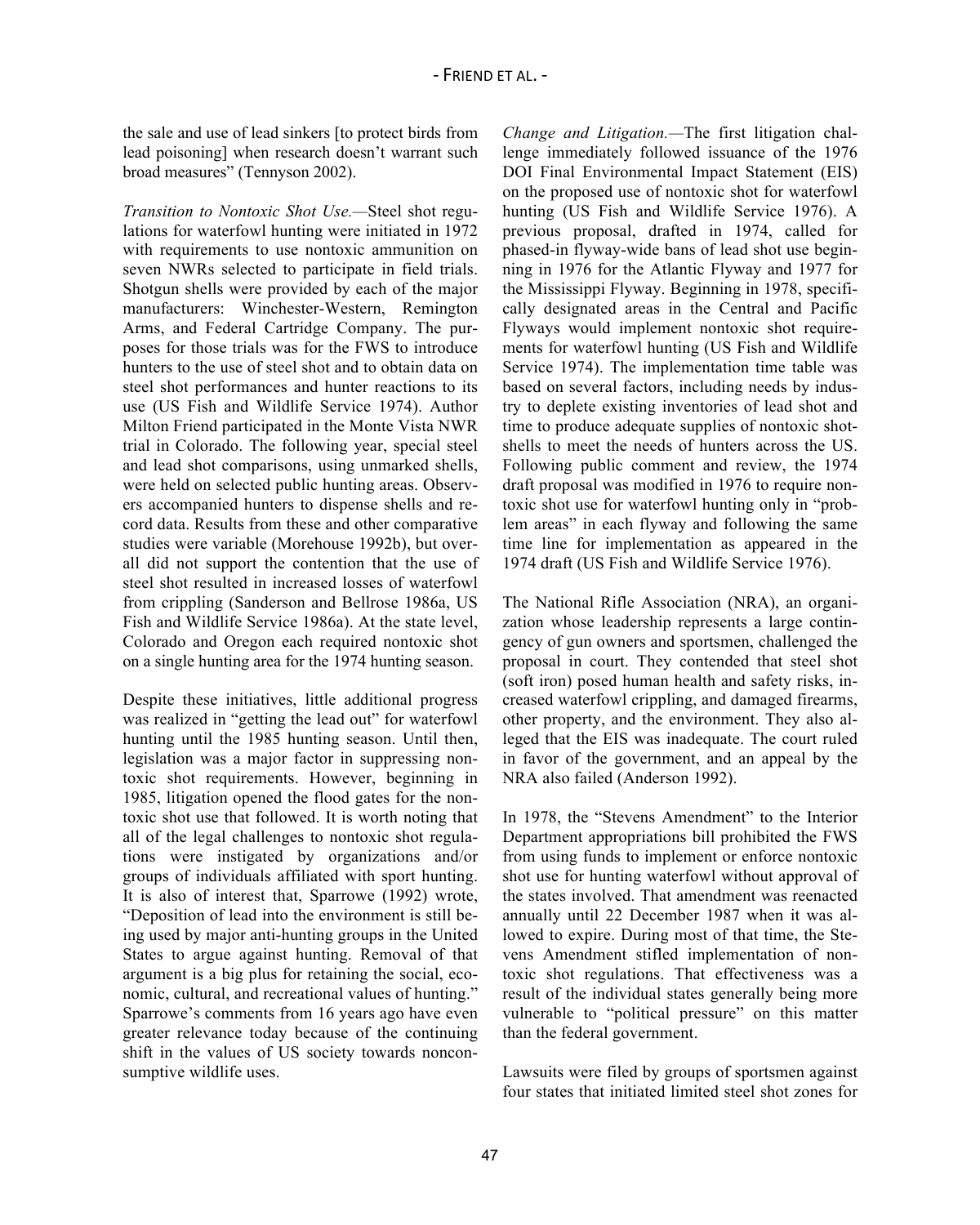the sale and use of lead sinkers [to protect birds from lead poisoning] when research doesn't warrant such broad measures" (Tennyson 2002).

*Transition to Nontoxic Shot Use.—*Steel shot regulations for waterfowl hunting were initiated in 1972 with requirements to use nontoxic ammunition on seven NWRs selected to participate in field trials. Shotgun shells were provided by each of the major manufacturers: Winchester-Western, Remington Arms, and Federal Cartridge Company. The purposes for those trials was for the FWS to introduce hunters to the use of steel shot and to obtain data on steel shot performances and hunter reactions to its use (US Fish and Wildlife Service 1974). Author Milton Friend participated in the Monte Vista NWR trial in Colorado. The following year, special steel and lead shot comparisons, using unmarked shells, were held on selected public hunting areas. Observers accompanied hunters to dispense shells and record data. Results from these and other comparative studies were variable (Morehouse 1992b), but overall did not support the contention that the use of steel shot resulted in increased losses of waterfowl from crippling (Sanderson and Bellrose 1986a, US Fish and Wildlife Service 1986a). At the state level, Colorado and Oregon each required nontoxic shot on a single hunting area for the 1974 hunting season.

Despite these initiatives, little additional progress was realized in "getting the lead out" for waterfowl hunting until the 1985 hunting season. Until then, legislation was a major factor in suppressing nontoxic shot requirements. However, beginning in 1985, litigation opened the flood gates for the nontoxic shot use that followed. It is worth noting that all of the legal challenges to nontoxic shot regulations were instigated by organizations and/or groups of individuals affiliated with sport hunting. It is also of interest that, Sparrowe (1992) wrote, "Deposition of lead into the environment is still being used by major anti-hunting groups in the United States to argue against hunting. Removal of that argument is a big plus for retaining the social, economic, cultural, and recreational values of hunting." Sparrowe's comments from 16 years ago have even greater relevance today because of the continuing shift in the values of US society towards nonconsumptive wildlife uses.

*Change and Litigation.—*The first litigation challenge immediately followed issuance of the 1976 DOI Final Environmental Impact Statement (EIS) on the proposed use of nontoxic shot for waterfowl hunting (US Fish and Wildlife Service 1976). A previous proposal, drafted in 1974, called for phased-in flyway-wide bans of lead shot use beginning in 1976 for the Atlantic Flyway and 1977 for the Mississippi Flyway. Beginning in 1978, specifically designated areas in the Central and Pacific Flyways would implement nontoxic shot requirements for waterfowl hunting (US Fish and Wildlife Service 1974). The implementation time table was based on several factors, including needs by industry to deplete existing inventories of lead shot and time to produce adequate supplies of nontoxic shotshells to meet the needs of hunters across the US. Following public comment and review, the 1974 draft proposal was modified in 1976 to require nontoxic shot use for waterfowl hunting only in "problem areas" in each flyway and following the same time line for implementation as appeared in the 1974 draft (US Fish and Wildlife Service 1976).

The National Rifle Association (NRA), an organization whose leadership represents a large contingency of gun owners and sportsmen, challenged the proposal in court. They contended that steel shot (soft iron) posed human health and safety risks, increased waterfowl crippling, and damaged firearms, other property, and the environment. They also alleged that the EIS was inadequate. The court ruled in favor of the government, and an appeal by the NRA also failed (Anderson 1992).

In 1978, the "Stevens Amendment" to the Interior Department appropriations bill prohibited the FWS from using funds to implement or enforce nontoxic shot use for hunting waterfowl without approval of the states involved. That amendment was reenacted annually until 22 December 1987 when it was allowed to expire. During most of that time, the Stevens Amendment stifled implementation of nontoxic shot regulations. That effectiveness was a result of the individual states generally being more vulnerable to "political pressure" on this matter than the federal government.

Lawsuits were filed by groups of sportsmen against four states that initiated limited steel shot zones for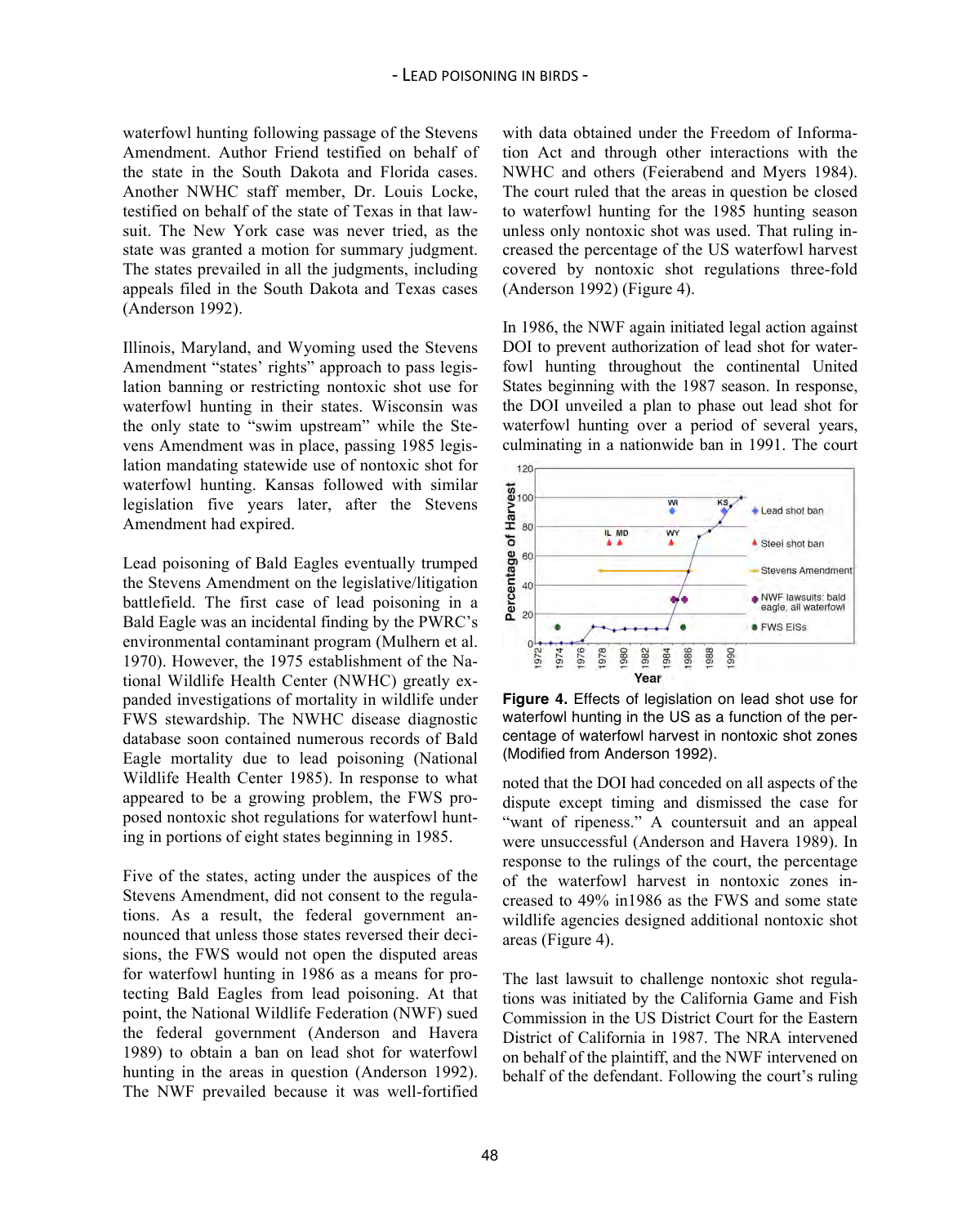waterfowl hunting following passage of the Stevens Amendment. Author Friend testified on behalf of the state in the South Dakota and Florida cases. Another NWHC staff member, Dr. Louis Locke, testified on behalf of the state of Texas in that lawsuit. The New York case was never tried, as the state was granted a motion for summary judgment. The states prevailed in all the judgments, including appeals filed in the South Dakota and Texas cases (Anderson 1992).

Illinois, Maryland, and Wyoming used the Stevens Amendment "states' rights" approach to pass legislation banning or restricting nontoxic shot use for waterfowl hunting in their states. Wisconsin was the only state to "swim upstream" while the Stevens Amendment was in place, passing 1985 legislation mandating statewide use of nontoxic shot for waterfowl hunting. Kansas followed with similar legislation five years later, after the Stevens Amendment had expired.

Lead poisoning of Bald Eagles eventually trumped the Stevens Amendment on the legislative/litigation battlefield. The first case of lead poisoning in a Bald Eagle was an incidental finding by the PWRC's environmental contaminant program (Mulhern et al. 1970). However, the 1975 establishment of the National Wildlife Health Center (NWHC) greatly expanded investigations of mortality in wildlife under FWS stewardship. The NWHC disease diagnostic database soon contained numerous records of Bald Eagle mortality due to lead poisoning (National Wildlife Health Center 1985). In response to what appeared to be a growing problem, the FWS proposed nontoxic shot regulations for waterfowl hunting in portions of eight states beginning in 1985.

Five of the states, acting under the auspices of the Stevens Amendment, did not consent to the regulations. As a result, the federal government announced that unless those states reversed their decisions, the FWS would not open the disputed areas for waterfowl hunting in 1986 as a means for protecting Bald Eagles from lead poisoning. At that point, the National Wildlife Federation (NWF) sued the federal government (Anderson and Havera 1989) to obtain a ban on lead shot for waterfowl hunting in the areas in question (Anderson 1992). The NWF prevailed because it was well-fortified with data obtained under the Freedom of Information Act and through other interactions with the NWHC and others (Feierabend and Myers 1984). The court ruled that the areas in question be closed to waterfowl hunting for the 1985 hunting season unless only nontoxic shot was used. That ruling increased the percentage of the US waterfowl harvest covered by nontoxic shot regulations three-fold (Anderson 1992) (Figure 4).

In 1986, the NWF again initiated legal action against DOI to prevent authorization of lead shot for waterfowl hunting throughout the continental United States beginning with the 1987 season. In response, the DOI unveiled a plan to phase out lead shot for waterfowl hunting over a period of several years, culminating in a nationwide ban in 1991. The court



**Figure 4.** Effects of legislation on lead shot use for waterfowl hunting in the US as a function of the percentage of waterfowl harvest in nontoxic shot zones (Modified from Anderson 1992).

noted that the DOI had conceded on all aspects of the dispute except timing and dismissed the case for "want of ripeness." A countersuit and an appeal were unsuccessful (Anderson and Havera 1989). In response to the rulings of the court, the percentage of the waterfowl harvest in nontoxic zones increased to 49% in1986 as the FWS and some state wildlife agencies designed additional nontoxic shot areas (Figure 4).

The last lawsuit to challenge nontoxic shot regulations was initiated by the California Game and Fish Commission in the US District Court for the Eastern District of California in 1987. The NRA intervened on behalf of the plaintiff, and the NWF intervened on behalf of the defendant. Following the court's ruling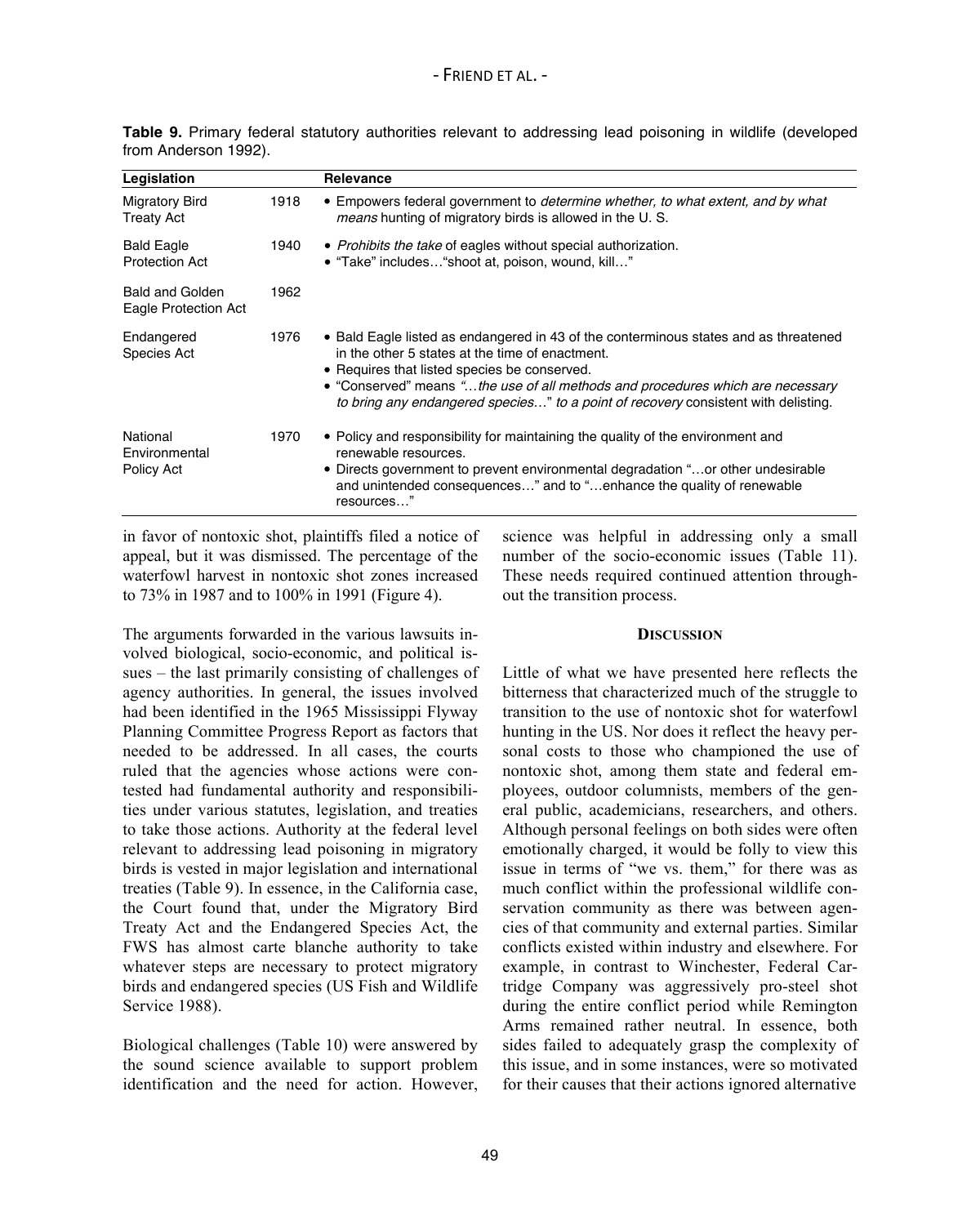| Legislation                                    |      | Relevance                                                                                                                                                                                                                                                                                                                                                       |
|------------------------------------------------|------|-----------------------------------------------------------------------------------------------------------------------------------------------------------------------------------------------------------------------------------------------------------------------------------------------------------------------------------------------------------------|
| <b>Migratory Bird</b><br>Treaty Act            | 1918 | • Empowers federal government to <i>determine whether, to what extent, and by what</i><br><i>means</i> hunting of migratory birds is allowed in the U.S.                                                                                                                                                                                                        |
| <b>Bald Eagle</b><br><b>Protection Act</b>     | 1940 | • Prohibits the take of eagles without special authorization.<br>• "Take" includes "shoot at, poison, wound, kill"                                                                                                                                                                                                                                              |
| <b>Bald and Golden</b><br>Eagle Protection Act | 1962 |                                                                                                                                                                                                                                                                                                                                                                 |
| Endangered<br>Species Act                      | 1976 | • Bald Eagle listed as endangered in 43 of the conterminous states and as threatened<br>in the other 5 states at the time of enactment.<br>• Requires that listed species be conserved.<br>• "Conserved" means "the use of all methods and procedures which are necessary<br>to bring any endangered species" to a point of recovery consistent with delisting. |
| National<br>Environmental<br>Policy Act        | 1970 | • Policy and responsibility for maintaining the quality of the environment and<br>renewable resources.<br>• Directs government to prevent environmental degradation "or other undesirable<br>and unintended consequences" and to "enhance the quality of renewable<br>resources"                                                                                |

**Table 9.** Primary federal statutory authorities relevant to addressing lead poisoning in wildlife (developed from Anderson 1992).

in favor of nontoxic shot, plaintiffs filed a notice of appeal, but it was dismissed. The percentage of the waterfowl harvest in nontoxic shot zones increased to 73% in 1987 and to 100% in 1991 (Figure 4).

The arguments forwarded in the various lawsuits involved biological, socio-economic, and political issues – the last primarily consisting of challenges of agency authorities. In general, the issues involved had been identified in the 1965 Mississippi Flyway Planning Committee Progress Report as factors that needed to be addressed. In all cases, the courts ruled that the agencies whose actions were contested had fundamental authority and responsibilities under various statutes, legislation, and treaties to take those actions. Authority at the federal level relevant to addressing lead poisoning in migratory birds is vested in major legislation and international treaties (Table 9). In essence, in the California case, the Court found that, under the Migratory Bird Treaty Act and the Endangered Species Act, the FWS has almost carte blanche authority to take whatever steps are necessary to protect migratory birds and endangered species (US Fish and Wildlife Service 1988).

Biological challenges (Table 10) were answered by the sound science available to support problem identification and the need for action. However, science was helpful in addressing only a small number of the socio-economic issues (Table 11). These needs required continued attention throughout the transition process.

## **DISCUSSION**

Little of what we have presented here reflects the bitterness that characterized much of the struggle to transition to the use of nontoxic shot for waterfowl hunting in the US. Nor does it reflect the heavy personal costs to those who championed the use of nontoxic shot, among them state and federal employees, outdoor columnists, members of the general public, academicians, researchers, and others. Although personal feelings on both sides were often emotionally charged, it would be folly to view this issue in terms of "we vs. them," for there was as much conflict within the professional wildlife conservation community as there was between agencies of that community and external parties. Similar conflicts existed within industry and elsewhere. For example, in contrast to Winchester, Federal Cartridge Company was aggressively pro-steel shot during the entire conflict period while Remington Arms remained rather neutral. In essence, both sides failed to adequately grasp the complexity of this issue, and in some instances, were so motivated for their causes that their actions ignored alternative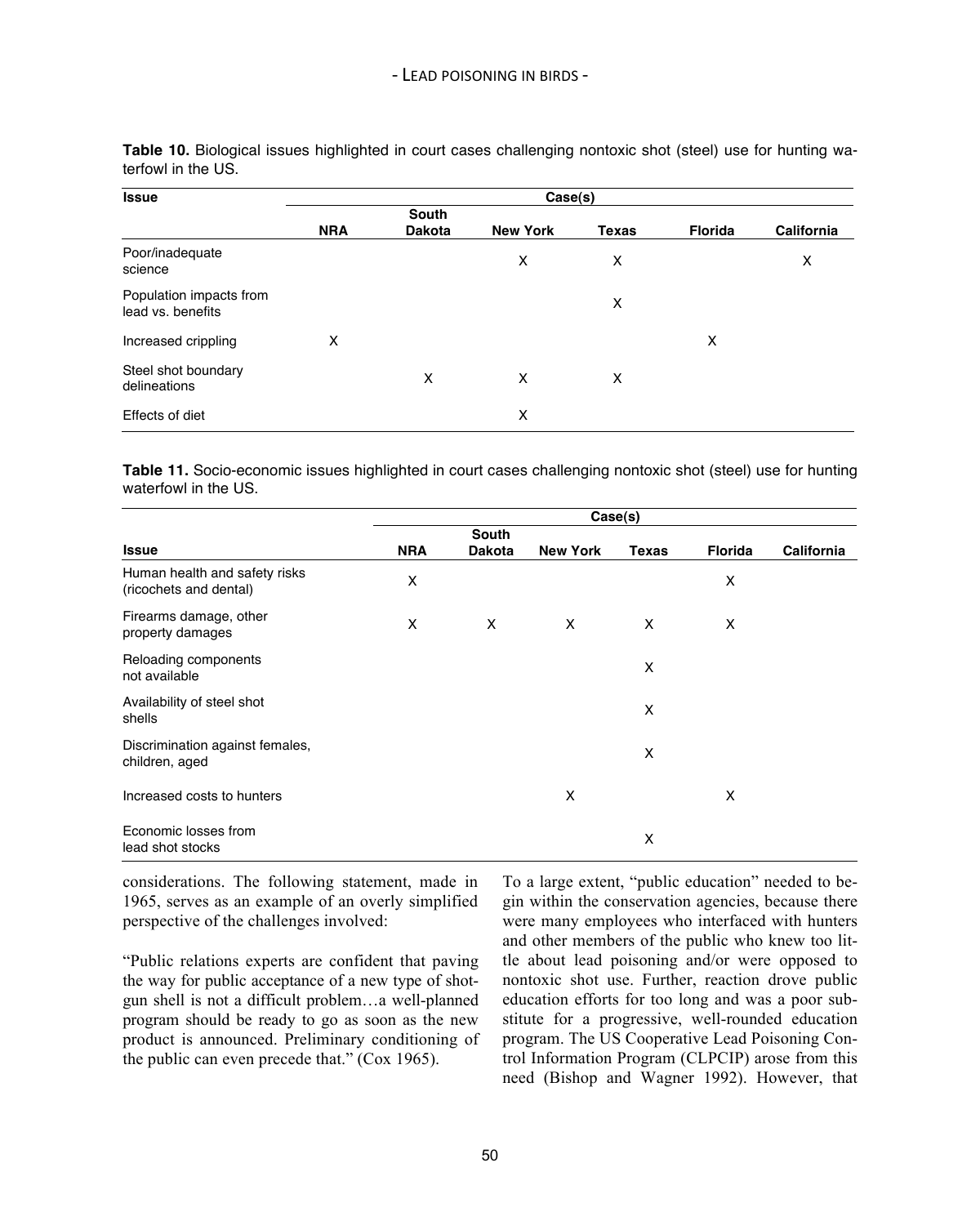| <b>Issue</b>                                 | Case(s)    |               |                 |              |                |            |  |
|----------------------------------------------|------------|---------------|-----------------|--------------|----------------|------------|--|
|                                              |            | <b>South</b>  |                 |              |                |            |  |
|                                              | <b>NRA</b> | <b>Dakota</b> | <b>New York</b> | <b>Texas</b> | <b>Florida</b> | California |  |
| Poor/inadequate<br>science                   |            |               | X               | X            |                | X          |  |
| Population impacts from<br>lead vs. benefits |            |               |                 | X            |                |            |  |
| Increased crippling                          | X          |               |                 |              | X              |            |  |
| Steel shot boundary<br>delineations          |            | x             | X               | X            |                |            |  |
| Effects of diet                              |            |               | X               |              |                |            |  |

**Table 10.** Biological issues highlighted in court cases challenging nontoxic shot (steel) use for hunting waterfowl in the US.

**Table 11.** Socio-economic issues highlighted in court cases challenging nontoxic shot (steel) use for hunting waterfowl in the US.

|                                                         | Case(s)    |               |                 |       |         |            |
|---------------------------------------------------------|------------|---------------|-----------------|-------|---------|------------|
|                                                         |            | <b>South</b>  |                 |       |         |            |
| <b>Issue</b>                                            | <b>NRA</b> | <b>Dakota</b> | <b>New York</b> | Texas | Florida | California |
| Human health and safety risks<br>(ricochets and dental) | X          |               |                 |       | X       |            |
| Firearms damage, other<br>property damages              | X          | X             | X               | X     | X       |            |
| Reloading components<br>not available                   |            |               |                 | X     |         |            |
| Availability of steel shot<br>shells                    |            |               |                 | X     |         |            |
| Discrimination against females,<br>children, aged       |            |               |                 | X     |         |            |
| Increased costs to hunters                              |            |               | X               |       | X       |            |
| Economic losses from<br>lead shot stocks                |            |               |                 | X     |         |            |

considerations. The following statement, made in 1965, serves as an example of an overly simplified perspective of the challenges involved:

"Public relations experts are confident that paving the way for public acceptance of a new type of shotgun shell is not a difficult problem…a well-planned program should be ready to go as soon as the new product is announced. Preliminary conditioning of the public can even precede that." (Cox 1965).

To a large extent, "public education" needed to begin within the conservation agencies, because there were many employees who interfaced with hunters and other members of the public who knew too little about lead poisoning and/or were opposed to nontoxic shot use. Further, reaction drove public education efforts for too long and was a poor substitute for a progressive, well-rounded education program. The US Cooperative Lead Poisoning Control Information Program (CLPCIP) arose from this need (Bishop and Wagner 1992). However, that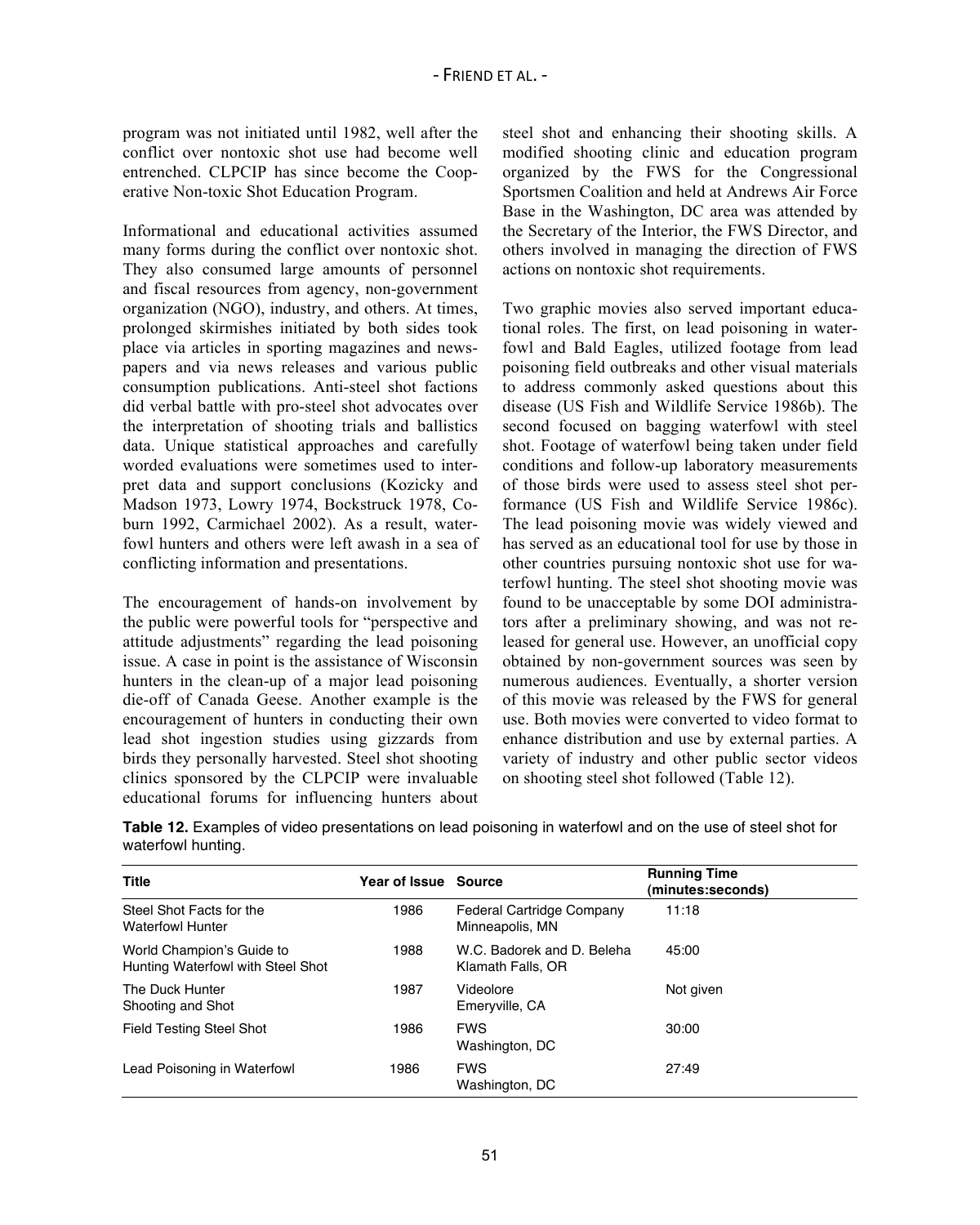program was not initiated until 1982, well after the conflict over nontoxic shot use had become well entrenched. CLPCIP has since become the Cooperative Non-toxic Shot Education Program.

Informational and educational activities assumed many forms during the conflict over nontoxic shot. They also consumed large amounts of personnel and fiscal resources from agency, non-government organization (NGO), industry, and others. At times, prolonged skirmishes initiated by both sides took place via articles in sporting magazines and newspapers and via news releases and various public consumption publications. Anti-steel shot factions did verbal battle with pro-steel shot advocates over the interpretation of shooting trials and ballistics data. Unique statistical approaches and carefully worded evaluations were sometimes used to interpret data and support conclusions (Kozicky and Madson 1973, Lowry 1974, Bockstruck 1978, Coburn 1992, Carmichael 2002). As a result, waterfowl hunters and others were left awash in a sea of conflicting information and presentations.

The encouragement of hands-on involvement by the public were powerful tools for "perspective and attitude adjustments" regarding the lead poisoning issue. A case in point is the assistance of Wisconsin hunters in the clean-up of a major lead poisoning die-off of Canada Geese. Another example is the encouragement of hunters in conducting their own lead shot ingestion studies using gizzards from birds they personally harvested. Steel shot shooting clinics sponsored by the CLPCIP were invaluable educational forums for influencing hunters about steel shot and enhancing their shooting skills. A modified shooting clinic and education program organized by the FWS for the Congressional Sportsmen Coalition and held at Andrews Air Force Base in the Washington, DC area was attended by the Secretary of the Interior, the FWS Director, and others involved in managing the direction of FWS actions on nontoxic shot requirements.

Two graphic movies also served important educational roles. The first, on lead poisoning in waterfowl and Bald Eagles, utilized footage from lead poisoning field outbreaks and other visual materials to address commonly asked questions about this disease (US Fish and Wildlife Service 1986b). The second focused on bagging waterfowl with steel shot. Footage of waterfowl being taken under field conditions and follow-up laboratory measurements of those birds were used to assess steel shot performance (US Fish and Wildlife Service 1986c). The lead poisoning movie was widely viewed and has served as an educational tool for use by those in other countries pursuing nontoxic shot use for waterfowl hunting. The steel shot shooting movie was found to be unacceptable by some DOI administrators after a preliminary showing, and was not released for general use. However, an unofficial copy obtained by non-government sources was seen by numerous audiences. Eventually, a shorter version of this movie was released by the FWS for general use. Both movies were converted to video format to enhance distribution and use by external parties. A variety of industry and other public sector videos on shooting steel shot followed (Table 12).

| Title                                                          | Year of Issue Source |                                                 | <b>Running Time</b><br>(minutes:seconds) |
|----------------------------------------------------------------|----------------------|-------------------------------------------------|------------------------------------------|
| Steel Shot Facts for the<br><b>Waterfowl Hunter</b>            | 1986                 | Federal Cartridge Company<br>Minneapolis, MN    | 11:18                                    |
| World Champion's Guide to<br>Hunting Waterfowl with Steel Shot | 1988                 | W.C. Badorek and D. Beleha<br>Klamath Falls, OR | 45:00                                    |
| The Duck Hunter<br>Shooting and Shot                           | 1987                 | Videolore<br>Emeryville, CA                     | Not given                                |
| <b>Field Testing Steel Shot</b>                                | 1986                 | <b>FWS</b><br>Washington, DC                    | 30:00                                    |
| Lead Poisoning in Waterfowl                                    | 1986                 | <b>FWS</b><br>Washington, DC                    | 27:49                                    |

**Table 12.** Examples of video presentations on lead poisoning in waterfowl and on the use of steel shot for waterfowl hunting.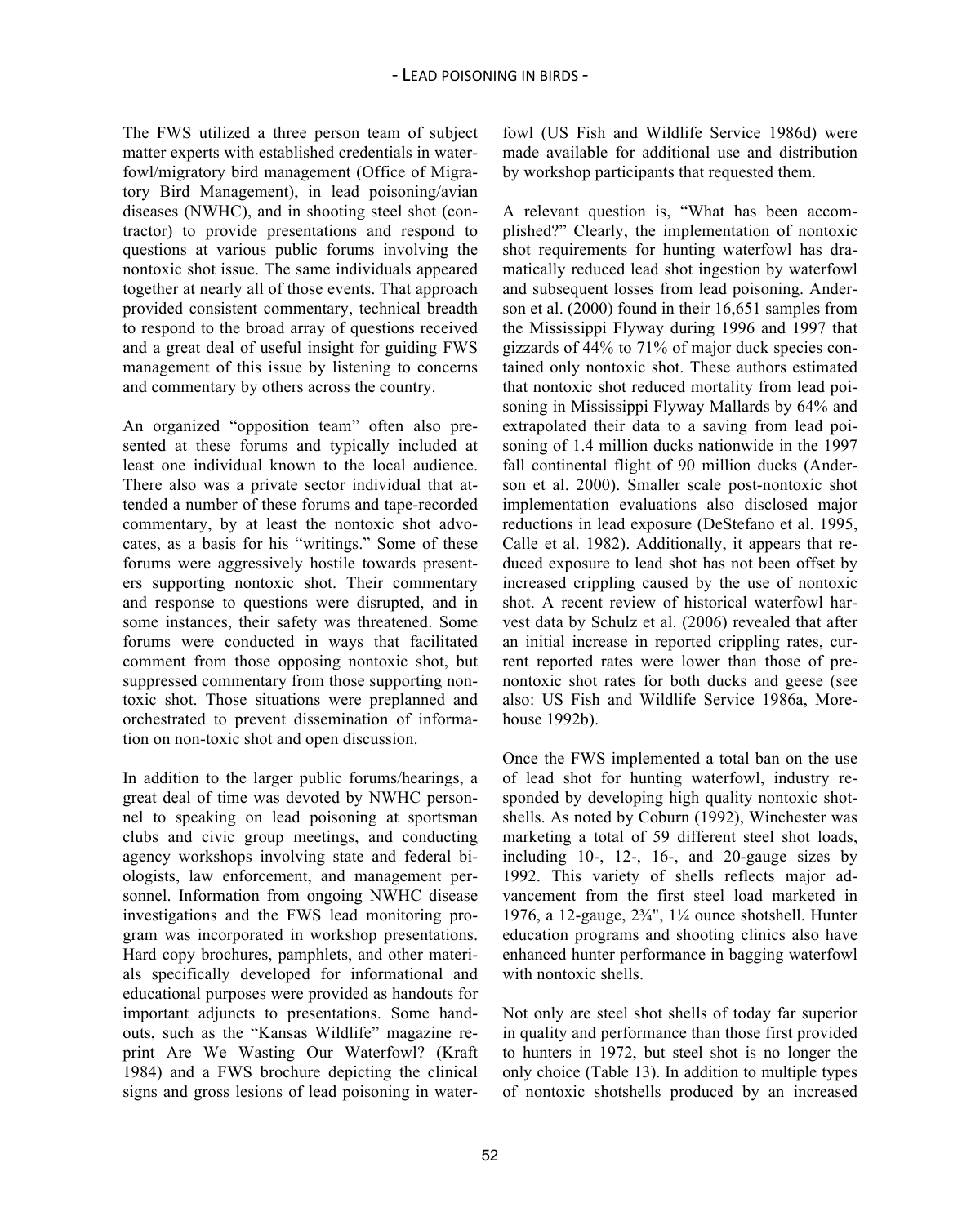The FWS utilized a three person team of subject matter experts with established credentials in waterfowl/migratory bird management (Office of Migratory Bird Management), in lead poisoning/avian diseases (NWHC), and in shooting steel shot (contractor) to provide presentations and respond to questions at various public forums involving the nontoxic shot issue. The same individuals appeared together at nearly all of those events. That approach provided consistent commentary, technical breadth to respond to the broad array of questions received and a great deal of useful insight for guiding FWS management of this issue by listening to concerns and commentary by others across the country.

An organized "opposition team" often also presented at these forums and typically included at least one individual known to the local audience. There also was a private sector individual that attended a number of these forums and tape-recorded commentary, by at least the nontoxic shot advocates, as a basis for his "writings." Some of these forums were aggressively hostile towards presenters supporting nontoxic shot. Their commentary and response to questions were disrupted, and in some instances, their safety was threatened. Some forums were conducted in ways that facilitated comment from those opposing nontoxic shot, but suppressed commentary from those supporting nontoxic shot. Those situations were preplanned and orchestrated to prevent dissemination of information on non-toxic shot and open discussion.

In addition to the larger public forums/hearings, a great deal of time was devoted by NWHC personnel to speaking on lead poisoning at sportsman clubs and civic group meetings, and conducting agency workshops involving state and federal biologists, law enforcement, and management personnel. Information from ongoing NWHC disease investigations and the FWS lead monitoring program was incorporated in workshop presentations. Hard copy brochures, pamphlets, and other materials specifically developed for informational and educational purposes were provided as handouts for important adjuncts to presentations. Some handouts, such as the "Kansas Wildlife" magazine reprint Are We Wasting Our Waterfowl? (Kraft 1984) and a FWS brochure depicting the clinical signs and gross lesions of lead poisoning in waterfowl (US Fish and Wildlife Service 1986d) were made available for additional use and distribution by workshop participants that requested them.

A relevant question is, "What has been accomplished?" Clearly, the implementation of nontoxic shot requirements for hunting waterfowl has dramatically reduced lead shot ingestion by waterfowl and subsequent losses from lead poisoning. Anderson et al. (2000) found in their 16,651 samples from the Mississippi Flyway during 1996 and 1997 that gizzards of 44% to 71% of major duck species contained only nontoxic shot. These authors estimated that nontoxic shot reduced mortality from lead poisoning in Mississippi Flyway Mallards by 64% and extrapolated their data to a saving from lead poisoning of 1.4 million ducks nationwide in the 1997 fall continental flight of 90 million ducks (Anderson et al. 2000). Smaller scale post-nontoxic shot implementation evaluations also disclosed major reductions in lead exposure (DeStefano et al. 1995, Calle et al. 1982). Additionally, it appears that reduced exposure to lead shot has not been offset by increased crippling caused by the use of nontoxic shot. A recent review of historical waterfowl harvest data by Schulz et al. (2006) revealed that after an initial increase in reported crippling rates, current reported rates were lower than those of prenontoxic shot rates for both ducks and geese (see also: US Fish and Wildlife Service 1986a, Morehouse 1992b).

Once the FWS implemented a total ban on the use of lead shot for hunting waterfowl, industry responded by developing high quality nontoxic shotshells. As noted by Coburn (1992), Winchester was marketing a total of 59 different steel shot loads, including 10-, 12-, 16-, and 20-gauge sizes by 1992. This variety of shells reflects major advancement from the first steel load marketed in 1976, a 12-gauge, 2¾", 1¼ ounce shotshell. Hunter education programs and shooting clinics also have enhanced hunter performance in bagging waterfowl with nontoxic shells.

Not only are steel shot shells of today far superior in quality and performance than those first provided to hunters in 1972, but steel shot is no longer the only choice (Table 13). In addition to multiple types of nontoxic shotshells produced by an increased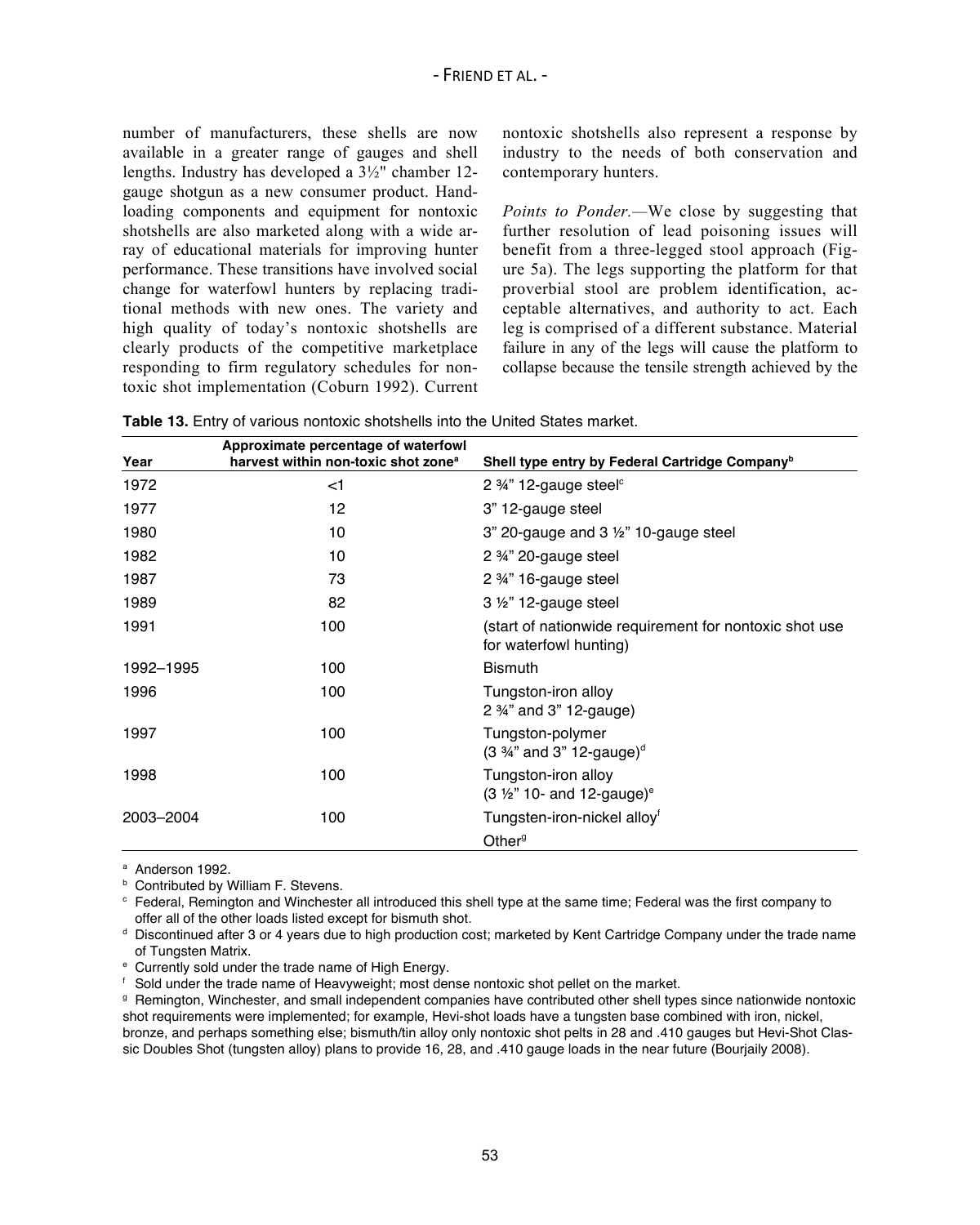number of manufacturers, these shells are now available in a greater range of gauges and shell lengths. Industry has developed a 3½" chamber 12 gauge shotgun as a new consumer product. Handloading components and equipment for nontoxic shotshells are also marketed along with a wide array of educational materials for improving hunter performance. These transitions have involved social change for waterfowl hunters by replacing traditional methods with new ones. The variety and high quality of today's nontoxic shotshells are clearly products of the competitive marketplace responding to firm regulatory schedules for nontoxic shot implementation (Coburn 1992). Current nontoxic shotshells also represent a response by industry to the needs of both conservation and contemporary hunters.

*Points to Ponder.—*We close by suggesting that further resolution of lead poisoning issues will benefit from a three-legged stool approach (Figure 5a). The legs supporting the platform for that proverbial stool are problem identification, acceptable alternatives, and authority to act. Each leg is comprised of a different substance. Material failure in any of the legs will cause the platform to collapse because the tensile strength achieved by the

|  |  |  |  |  | <b>Table 13.</b> Entry of various nontoxic shotshells into the United States market. |  |
|--|--|--|--|--|--------------------------------------------------------------------------------------|--|
|--|--|--|--|--|--------------------------------------------------------------------------------------|--|

| Year      | Approximate percentage of waterfowl<br>harvest within non-toxic shot zone <sup>a</sup> | Shell type entry by Federal Cartridge Company <sup>b</sup>                       |
|-----------|----------------------------------------------------------------------------------------|----------------------------------------------------------------------------------|
| 1972      | $<$ 1                                                                                  | 2 $\frac{3}{4}$ " 12-gauge steel <sup>c</sup>                                    |
| 1977      | 12                                                                                     | 3" 12-gauge steel                                                                |
| 1980      | 10                                                                                     | 3" 20-gauge and 3 $\frac{1}{2}$ " 10-gauge steel                                 |
| 1982      | 10                                                                                     | $2\frac{3}{4}$ " 20-gauge steel                                                  |
| 1987      | 73                                                                                     | $2\frac{3}{4}$ " 16-gauge steel                                                  |
| 1989      | 82                                                                                     | $3\frac{1}{2}$ 12-gauge steel                                                    |
| 1991      | 100                                                                                    | (start of nationwide requirement for nontoxic shot use<br>for waterfowl hunting) |
| 1992-1995 | 100                                                                                    | <b>Bismuth</b>                                                                   |
| 1996      | 100                                                                                    | Tungston-iron alloy<br>2 $\frac{3}{4}$ and 3" 12-gauge)                          |
| 1997      | 100                                                                                    | Tungston-polymer<br>$(3 \frac{3}{4}$ " and 3" 12-gauge) <sup>d</sup>             |
| 1998      | 100                                                                                    | Tungston-iron alloy<br>$(3 \frac{1}{2}$ " 10- and 12-gauge) <sup>e</sup>         |
| 2003-2004 | 100                                                                                    | Tungsten-iron-nickel alloy <sup>t</sup>                                          |
|           |                                                                                        | Other <sup>g</sup>                                                               |

a Anderson 1992.

**b** Contributed by William F. Stevens.

 $c$  Federal, Remington and Winchester all introduced this shell type at the same time; Federal was the first company to offer all of the other loads listed except for bismuth shot.

<sup>d</sup> Discontinued after 3 or 4 years due to high production cost; marketed by Kent Cartridge Company under the trade name of Tungsten Matrix.

<sup>e</sup> Currently sold under the trade name of High Energy.

<sup>f</sup> Sold under the trade name of Heavyweight; most dense nontoxic shot pellet on the market.

<sup>g</sup> Remington, Winchester, and small independent companies have contributed other shell types since nationwide nontoxic shot requirements were implemented; for example, Hevi-shot loads have a tungsten base combined with iron, nickel, bronze, and perhaps something else; bismuth/tin alloy only nontoxic shot pelts in 28 and .410 gauges but Hevi-Shot Classic Doubles Shot (tungsten alloy) plans to provide 16, 28, and .410 gauge loads in the near future (Bourjaily 2008).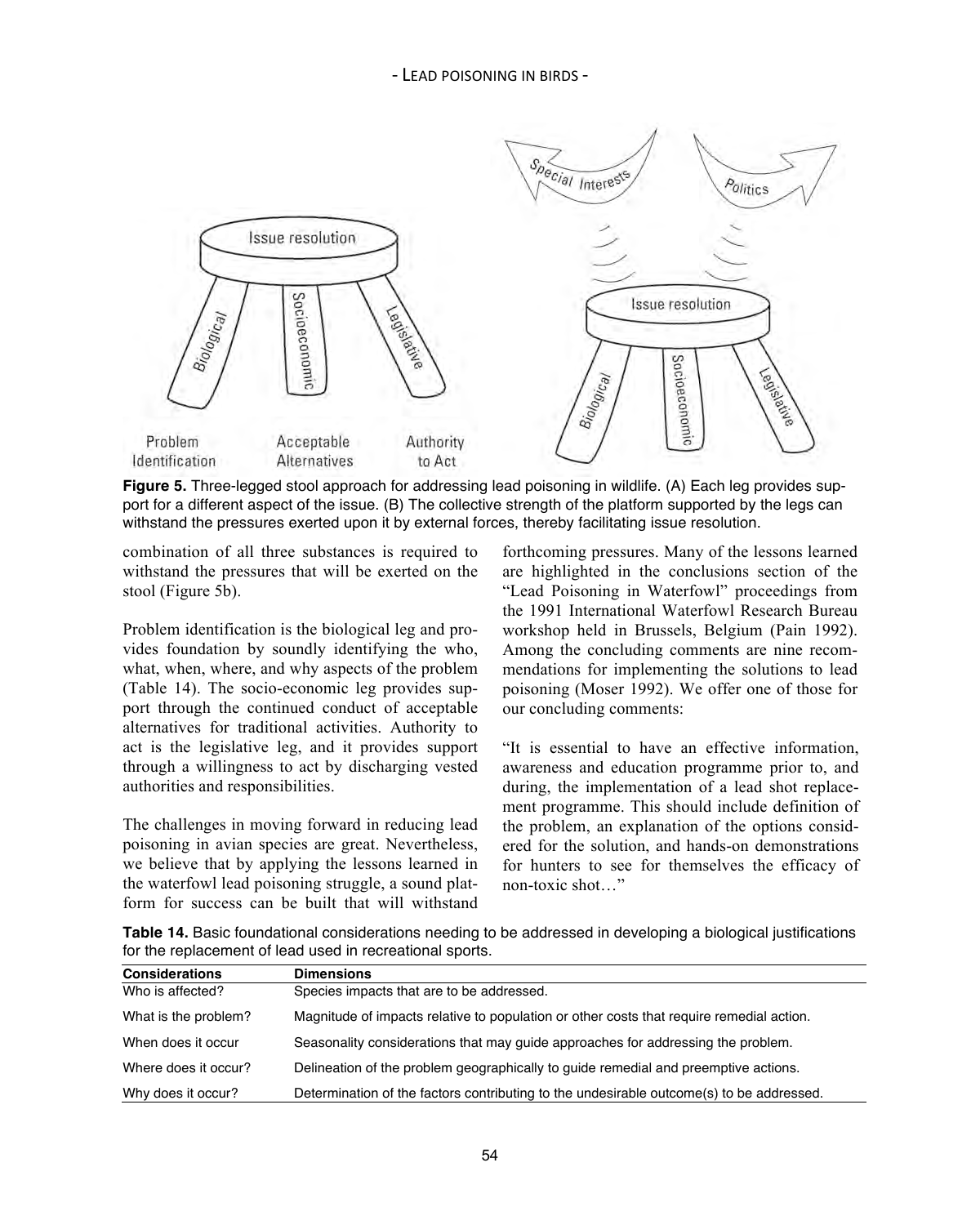

**Figure 5.** Three-legged stool approach for addressing lead poisoning in wildlife. (A) Each leg provides support for a different aspect of the issue. (B) The collective strength of the platform supported by the legs can withstand the pressures exerted upon it by external forces, thereby facilitating issue resolution.

combination of all three substances is required to withstand the pressures that will be exerted on the stool (Figure 5b).

Problem identification is the biological leg and provides foundation by soundly identifying the who, what, when, where, and why aspects of the problem (Table 14). The socio-economic leg provides support through the continued conduct of acceptable alternatives for traditional activities. Authority to act is the legislative leg, and it provides support through a willingness to act by discharging vested authorities and responsibilities.

The challenges in moving forward in reducing lead poisoning in avian species are great. Nevertheless, we believe that by applying the lessons learned in the waterfowl lead poisoning struggle, a sound platform for success can be built that will withstand

forthcoming pressures. Many of the lessons learned are highlighted in the conclusions section of the "Lead Poisoning in Waterfowl" proceedings from the 1991 International Waterfowl Research Bureau workshop held in Brussels, Belgium (Pain 1992). Among the concluding comments are nine recommendations for implementing the solutions to lead poisoning (Moser 1992). We offer one of those for our concluding comments:

"It is essential to have an effective information, awareness and education programme prior to, and during, the implementation of a lead shot replacement programme. This should include definition of the problem, an explanation of the options considered for the solution, and hands-on demonstrations for hunters to see for themselves the efficacy of non-toxic shot…"

**Table 14.** Basic foundational considerations needing to be addressed in developing a biological justifications for the replacement of lead used in recreational sports.

| <b>Considerations</b> | <b>Dimensions</b>                                                                        |
|-----------------------|------------------------------------------------------------------------------------------|
| Who is affected?      | Species impacts that are to be addressed.                                                |
| What is the problem?  | Magnitude of impacts relative to population or other costs that require remedial action. |
| When does it occur    | Seasonality considerations that may guide approaches for addressing the problem.         |
| Where does it occur?  | Delineation of the problem geographically to guide remedial and preemptive actions.      |
| Why does it occur?    | Determination of the factors contributing to the undesirable outcome(s) to be addressed. |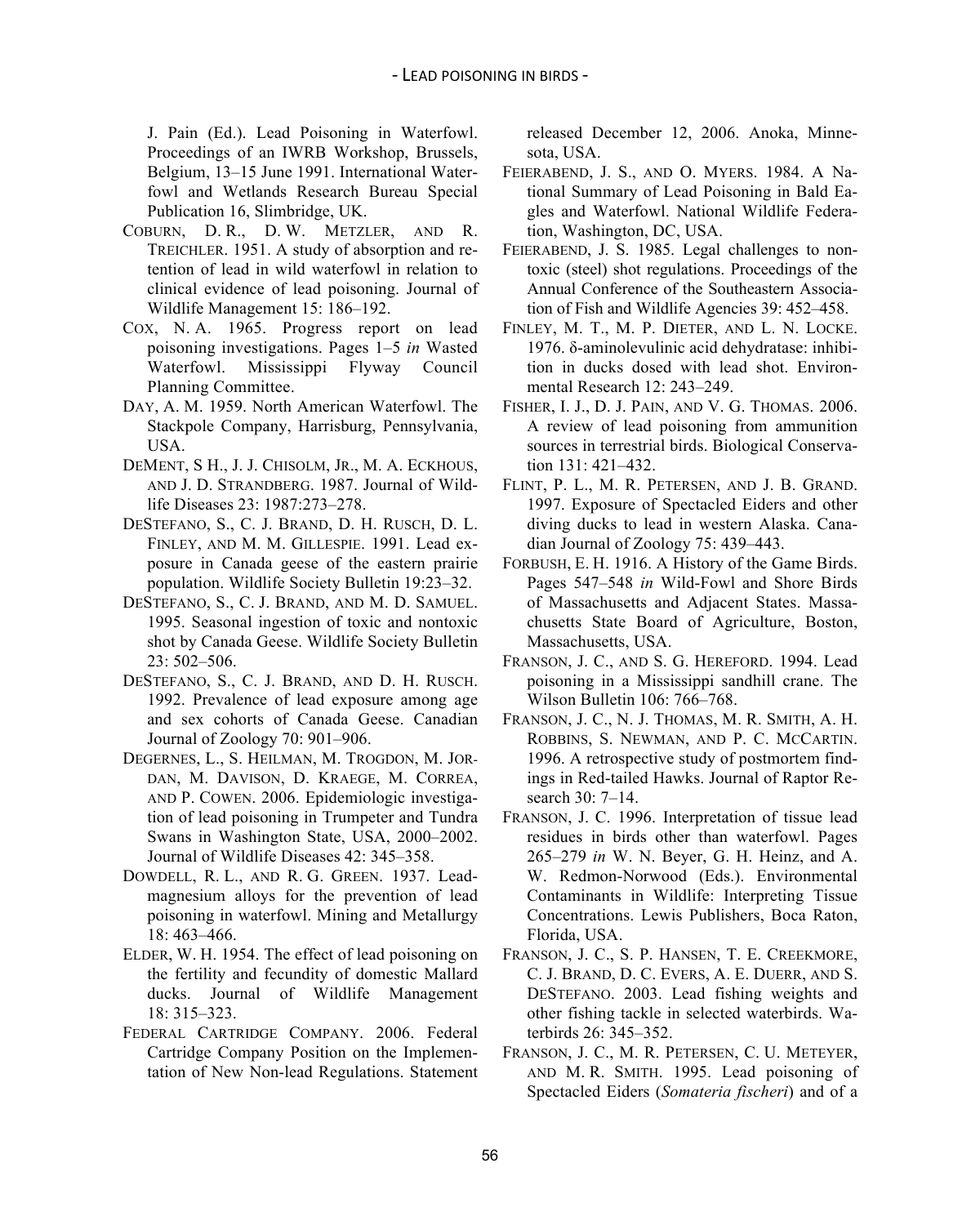J. Pain (Ed.). Lead Poisoning in Waterfowl. Proceedings of an IWRB Workshop, Brussels, Belgium, 13–15 June 1991. International Waterfowl and Wetlands Research Bureau Special Publication 16, Slimbridge, UK.

- COBURN, D. R., D. W. METZLER, AND R. TREICHLER. 1951. A study of absorption and retention of lead in wild waterfowl in relation to clinical evidence of lead poisoning. Journal of Wildlife Management 15: 186–192.
- COX, N. A. 1965. Progress report on lead poisoning investigations. Pages 1–5 *in* Wasted Waterfowl. Mississippi Flyway Council Planning Committee.
- DAY, A. M. 1959. North American Waterfowl. The Stackpole Company, Harrisburg, Pennsylvania, USA.
- DEMENT, S H., J. J. CHISOLM, JR., M. A. ECKHOUS, AND J. D. STRANDBERG. 1987. Journal of Wildlife Diseases 23: 1987:273–278.
- DESTEFANO, S., C. J. BRAND, D. H. RUSCH, D. L. FINLEY, AND M. M. GILLESPIE. 1991. Lead exposure in Canada geese of the eastern prairie population. Wildlife Society Bulletin 19:23–32.
- DESTEFANO, S., C. J. BRAND, AND M. D. SAMUEL. 1995. Seasonal ingestion of toxic and nontoxic shot by Canada Geese. Wildlife Society Bulletin 23: 502–506.
- DESTEFANO, S., C. J. BRAND, AND D. H. RUSCH. 1992. Prevalence of lead exposure among age and sex cohorts of Canada Geese. Canadian Journal of Zoology 70: 901–906.
- DEGERNES, L., S. HEILMAN, M. TROGDON, M. JOR-DAN, M. DAVISON, D. KRAEGE, M. CORREA, AND P. COWEN. 2006. Epidemiologic investigation of lead poisoning in Trumpeter and Tundra Swans in Washington State, USA, 2000–2002. Journal of Wildlife Diseases 42: 345–358.
- DOWDELL, R. L., AND R. G. GREEN. 1937. Leadmagnesium alloys for the prevention of lead poisoning in waterfowl. Mining and Metallurgy 18: 463–466.
- ELDER, W. H. 1954. The effect of lead poisoning on the fertility and fecundity of domestic Mallard ducks. Journal of Wildlife Management 18: 315–323.
- FEDERAL CARTRIDGE COMPANY. 2006. Federal Cartridge Company Position on the Implementation of New Non-lead Regulations. Statement

released December 12, 2006. Anoka, Minnesota, USA.

- FEIERABEND, J. S., AND O. MYERS. 1984. A National Summary of Lead Poisoning in Bald Eagles and Waterfowl. National Wildlife Federation, Washington, DC, USA.
- FEIERABEND, J. S. 1985. Legal challenges to nontoxic (steel) shot regulations. Proceedings of the Annual Conference of the Southeastern Association of Fish and Wildlife Agencies 39: 452–458.
- FINLEY, M. T., M. P. DIETER, AND L. N. LOCKE. 1976. δ-aminolevulinic acid dehydratase: inhibition in ducks dosed with lead shot. Environmental Research 12: 243–249.
- FISHER, I. J., D. J. PAIN, AND V. G. THOMAS. 2006. A review of lead poisoning from ammunition sources in terrestrial birds. Biological Conservation 131: 421–432.
- FLINT, P. L., M. R. PETERSEN, AND J. B. GRAND. 1997. Exposure of Spectacled Eiders and other diving ducks to lead in western Alaska. Canadian Journal of Zoology 75: 439–443.
- FORBUSH, E. H. 1916. A History of the Game Birds. Pages 547–548 *in* Wild-Fowl and Shore Birds of Massachusetts and Adjacent States. Massachusetts State Board of Agriculture, Boston, Massachusetts, USA.
- FRANSON, J. C., AND S. G. HEREFORD. 1994. Lead poisoning in a Mississippi sandhill crane. The Wilson Bulletin 106: 766–768.
- FRANSON, J. C., N. J. THOMAS, M. R. SMITH, A. H. ROBBINS, S. NEWMAN, AND P. C. MCCARTIN. 1996. A retrospective study of postmortem findings in Red-tailed Hawks. Journal of Raptor Research 30: 7–14.
- FRANSON, J. C. 1996. Interpretation of tissue lead residues in birds other than waterfowl. Pages 265–279 *in* W. N. Beyer, G. H. Heinz, and A. W. Redmon-Norwood (Eds.). Environmental Contaminants in Wildlife: Interpreting Tissue Concentrations. Lewis Publishers, Boca Raton, Florida, USA.
- FRANSON, J. C., S. P. HANSEN, T. E. CREEKMORE, C. J. BRAND, D. C. EVERS, A. E. DUERR, AND S. DESTEFANO. 2003. Lead fishing weights and other fishing tackle in selected waterbirds. Waterbirds 26: 345–352.
- FRANSON, J. C., M. R. PETERSEN, C. U. METEYER, AND M. R. SMITH. 1995. Lead poisoning of Spectacled Eiders (*Somateria fischeri*) and of a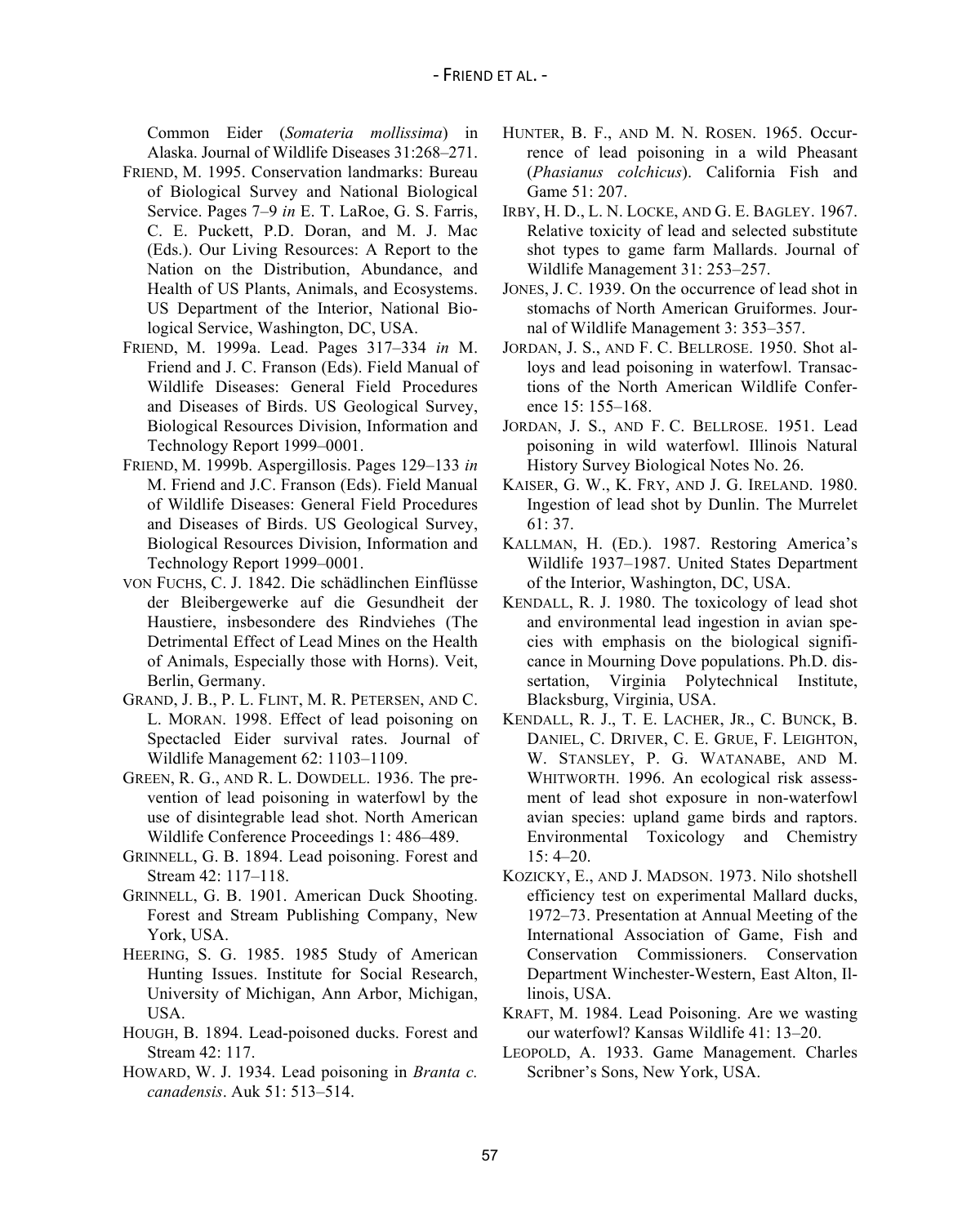Common Eider (*Somateria mollissima*) in Alaska. Journal of Wildlife Diseases 31:268–271.

- FRIEND, M. 1995. Conservation landmarks: Bureau of Biological Survey and National Biological Service. Pages 7–9 *in* E. T. LaRoe, G. S. Farris, C. E. Puckett, P.D. Doran, and M. J. Mac (Eds.). Our Living Resources: A Report to the Nation on the Distribution, Abundance, and Health of US Plants, Animals, and Ecosystems. US Department of the Interior, National Biological Service, Washington, DC, USA.
- FRIEND, M. 1999a. Lead. Pages 317–334 *in* M. Friend and J. C. Franson (Eds). Field Manual of Wildlife Diseases: General Field Procedures and Diseases of Birds. US Geological Survey, Biological Resources Division, Information and Technology Report 1999–0001.
- FRIEND, M. 1999b. Aspergillosis. Pages 129–133 *in* M. Friend and J.C. Franson (Eds). Field Manual of Wildlife Diseases: General Field Procedures and Diseases of Birds. US Geological Survey, Biological Resources Division, Information and Technology Report 1999–0001.
- VON FUCHS, C. J. 1842. Die schädlinchen Einflüsse der Bleibergewerke auf die Gesundheit der Haustiere, insbesondere des Rindviehes (The Detrimental Effect of Lead Mines on the Health of Animals, Especially those with Horns). Veit, Berlin, Germany.
- GRAND, J. B., P. L. FLINT, M. R. PETERSEN, AND C. L. MORAN. 1998. Effect of lead poisoning on Spectacled Eider survival rates. Journal of Wildlife Management 62: 1103–1109.
- GREEN, R. G., AND R. L. DOWDELL. 1936. The prevention of lead poisoning in waterfowl by the use of disintegrable lead shot. North American Wildlife Conference Proceedings 1: 486–489.
- GRINNELL, G. B. 1894. Lead poisoning. Forest and Stream 42: 117–118.
- GRINNELL, G. B. 1901. American Duck Shooting. Forest and Stream Publishing Company, New York, USA.
- HEERING, S. G. 1985. 1985 Study of American Hunting Issues. Institute for Social Research, University of Michigan, Ann Arbor, Michigan, USA.
- HOUGH, B. 1894. Lead-poisoned ducks. Forest and Stream 42: 117.
- HOWARD, W. J. 1934. Lead poisoning in *Branta c. canadensis*. Auk 51: 513–514.
- HUNTER, B. F., AND M. N. ROSEN. 1965. Occurrence of lead poisoning in a wild Pheasant (*Phasianus colchicus*). California Fish and Game 51: 207.
- IRBY, H. D., L. N. LOCKE, AND G. E. BAGLEY. 1967. Relative toxicity of lead and selected substitute shot types to game farm Mallards. Journal of Wildlife Management 31: 253–257.
- JONES, J. C. 1939. On the occurrence of lead shot in stomachs of North American Gruiformes. Journal of Wildlife Management 3: 353–357.
- JORDAN, J. S., AND F. C. BELLROSE. 1950. Shot alloys and lead poisoning in waterfowl. Transactions of the North American Wildlife Conference 15: 155–168.
- JORDAN, J. S., AND F. C. BELLROSE. 1951. Lead poisoning in wild waterfowl. Illinois Natural History Survey Biological Notes No. 26.
- KAISER, G. W., K. FRY, AND J. G. IRELAND. 1980. Ingestion of lead shot by Dunlin. The Murrelet 61: 37.
- KALLMAN, H. (ED.). 1987. Restoring America's Wildlife 1937–1987. United States Department of the Interior, Washington, DC, USA.
- KENDALL, R. J. 1980. The toxicology of lead shot and environmental lead ingestion in avian species with emphasis on the biological significance in Mourning Dove populations. Ph.D. dissertation, Virginia Polytechnical Institute, Blacksburg, Virginia, USA.
- KENDALL, R. J., T. E. LACHER, JR., C. BUNCK, B. DANIEL, C. DRIVER, C. E. GRUE, F. LEIGHTON, W. STANSLEY, P. G. WATANABE, AND M. WHITWORTH. 1996. An ecological risk assessment of lead shot exposure in non-waterfowl avian species: upland game birds and raptors. Environmental Toxicology and Chemistry 15: 4–20.
- KOZICKY, E., AND J. MADSON. 1973. Nilo shotshell efficiency test on experimental Mallard ducks, 1972–73. Presentation at Annual Meeting of the International Association of Game, Fish and Conservation Commissioners. Conservation Department Winchester-Western, East Alton, Illinois, USA.
- KRAFT, M. 1984. Lead Poisoning. Are we wasting our waterfowl? Kansas Wildlife 41: 13–20.
- LEOPOLD, A. 1933. Game Management. Charles Scribner's Sons, New York, USA.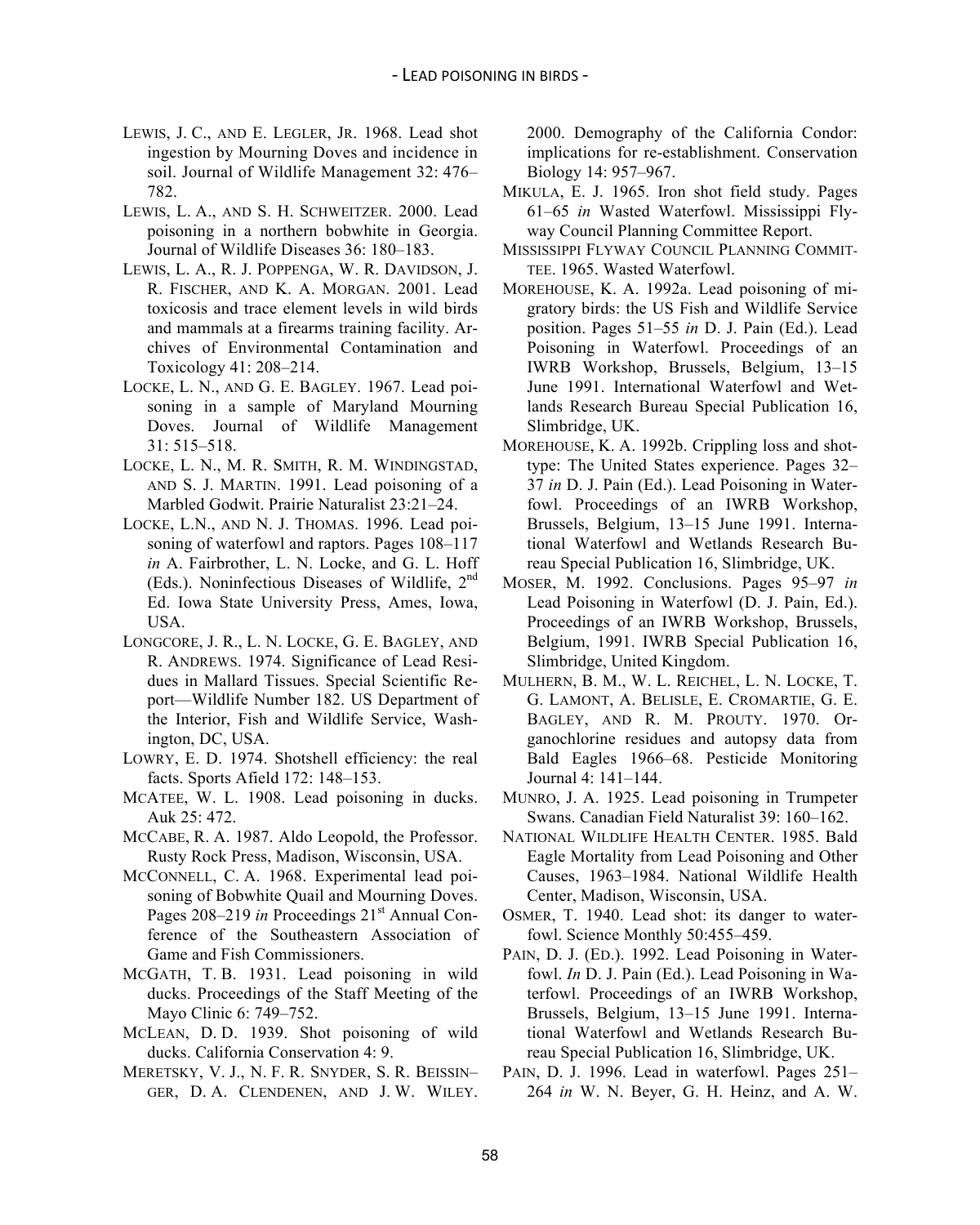- LEWIS, J. C., AND E. LEGLER, JR. 1968. Lead shot ingestion by Mourning Doves and incidence in soil. Journal of Wildlife Management 32: 476– 782.
- LEWIS, L. A., AND S. H. SCHWEITZER. 2000. Lead poisoning in a northern bobwhite in Georgia. Journal of Wildlife Diseases 36: 180–183.
- LEWIS, L. A., R. J. POPPENGA, W. R. DAVIDSON, J. R. FISCHER, AND K. A. MORGAN. 2001. Lead toxicosis and trace element levels in wild birds and mammals at a firearms training facility. Archives of Environmental Contamination and Toxicology 41: 208–214.
- LOCKE, L. N., AND G. E. BAGLEY. 1967. Lead poisoning in a sample of Maryland Mourning Doves. Journal of Wildlife Management 31: 515–518.
- LOCKE, L. N., M. R. SMITH, R. M. WINDINGSTAD, AND S. J. MARTIN. 1991. Lead poisoning of a Marbled Godwit. Prairie Naturalist 23:21–24.
- LOCKE, L.N., AND N. J. THOMAS. 1996. Lead poisoning of waterfowl and raptors. Pages 108–117 *in* A. Fairbrother, L. N. Locke, and G. L. Hoff (Eds.). Noninfectious Diseases of Wildlife, 2<sup>nd</sup> Ed. Iowa State University Press, Ames, Iowa, USA.
- LONGCORE, J. R., L. N. LOCKE, G. E. BAGLEY, AND R. ANDREWS. 1974. Significance of Lead Residues in Mallard Tissues. Special Scientific Report—Wildlife Number 182. US Department of the Interior, Fish and Wildlife Service, Washington, DC, USA.
- LOWRY, E. D. 1974. Shotshell efficiency: the real facts. Sports Afield 172: 148–153.
- MCATEE, W. L. 1908. Lead poisoning in ducks. Auk 25: 472.
- MCCABE, R. A. 1987. Aldo Leopold, the Professor. Rusty Rock Press, Madison, Wisconsin, USA.
- MCCONNELL, C. A. 1968. Experimental lead poisoning of Bobwhite Quail and Mourning Doves. Pages 208-219 in Proceedings 21<sup>st</sup> Annual Conference of the Southeastern Association of Game and Fish Commissioners.
- MCGATH, T. B. 1931. Lead poisoning in wild ducks. Proceedings of the Staff Meeting of the Mayo Clinic 6: 749–752.
- MCLEAN, D. D. 1939. Shot poisoning of wild ducks. California Conservation 4: 9.
- MERETSKY, V. J., N. F. R. SNYDER, S. R. BEISSIN– GER, D. A. CLENDENEN, AND J. W. WILEY.

2000. Demography of the California Condor: implications for re-establishment. Conservation Biology 14: 957–967.

- MIKULA, E. J. 1965. Iron shot field study. Pages 61–65 *in* Wasted Waterfowl. Mississippi Flyway Council Planning Committee Report.
- MISSISSIPPI FLYWAY COUNCIL PLANNING COMMIT-TEE. 1965. Wasted Waterfowl.
- MOREHOUSE, K. A. 1992a. Lead poisoning of migratory birds: the US Fish and Wildlife Service position. Pages 51–55 *in* D. J. Pain (Ed.). Lead Poisoning in Waterfowl. Proceedings of an IWRB Workshop, Brussels, Belgium, 13–15 June 1991. International Waterfowl and Wetlands Research Bureau Special Publication 16, Slimbridge, UK.
- MOREHOUSE, K. A. 1992b. Crippling loss and shottype: The United States experience. Pages 32– 37 *in* D. J. Pain (Ed.). Lead Poisoning in Waterfowl. Proceedings of an IWRB Workshop, Brussels, Belgium, 13–15 June 1991. International Waterfowl and Wetlands Research Bureau Special Publication 16, Slimbridge, UK.
- MOSER, M. 1992. Conclusions. Pages 95–97 *in* Lead Poisoning in Waterfowl (D. J. Pain, Ed.). Proceedings of an IWRB Workshop, Brussels, Belgium, 1991. IWRB Special Publication 16, Slimbridge, United Kingdom.
- MULHERN, B. M., W. L. REICHEL, L. N. LOCKE, T. G. LAMONT, A. BELISLE, E. CROMARTIE, G. E. BAGLEY, AND R. M. PROUTY. 1970. Organochlorine residues and autopsy data from Bald Eagles 1966–68. Pesticide Monitoring Journal 4: 141–144.
- MUNRO, J. A. 1925. Lead poisoning in Trumpeter Swans. Canadian Field Naturalist 39: 160–162.
- NATIONAL WILDLIFE HEALTH CENTER. 1985. Bald Eagle Mortality from Lead Poisoning and Other Causes, 1963–1984. National Wildlife Health Center, Madison, Wisconsin, USA.
- OSMER, T. 1940. Lead shot: its danger to waterfowl. Science Monthly 50:455–459.
- PAIN, D. J. (ED.). 1992. Lead Poisoning in Waterfowl. *In* D. J. Pain (Ed.). Lead Poisoning in Waterfowl. Proceedings of an IWRB Workshop, Brussels, Belgium, 13–15 June 1991. International Waterfowl and Wetlands Research Bureau Special Publication 16, Slimbridge, UK.
- PAIN, D. J. 1996. Lead in waterfowl. Pages 251– 264 *in* W. N. Beyer, G. H. Heinz, and A. W.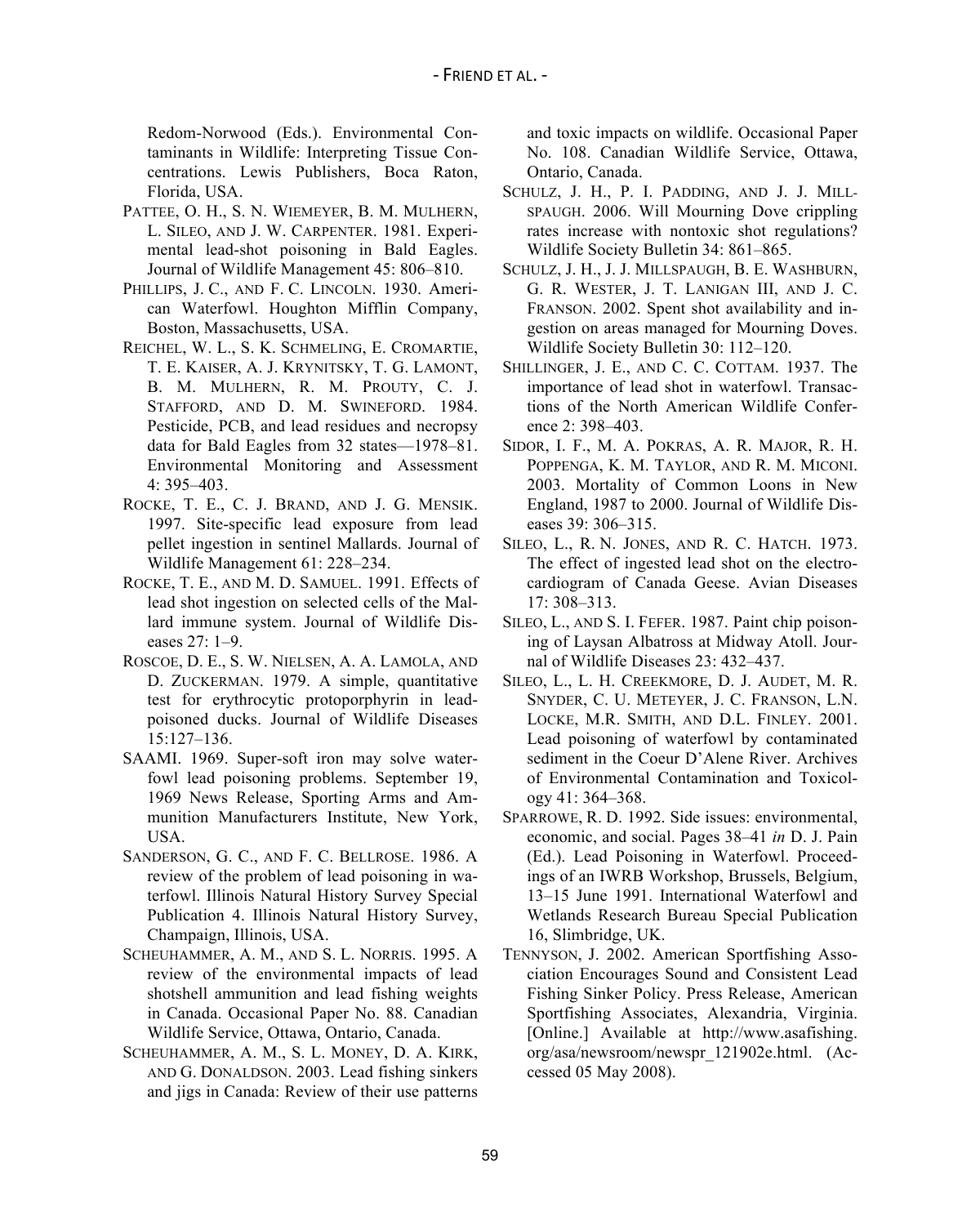Redom-Norwood (Eds.). Environmental Contaminants in Wildlife: Interpreting Tissue Concentrations. Lewis Publishers, Boca Raton, Florida, USA.

- PATTEE, O. H., S. N. WIEMEYER, B. M. MULHERN, L. SILEO, AND J. W. CARPENTER. 1981. Experimental lead-shot poisoning in Bald Eagles. Journal of Wildlife Management 45: 806–810.
- PHILLIPS, J. C., AND F. C. LINCOLN. 1930. American Waterfowl. Houghton Mifflin Company, Boston, Massachusetts, USA.
- REICHEL, W. L., S. K. SCHMELING, E. CROMARTIE, T. E. KAISER, A. J. KRYNITSKY, T. G. LAMONT, B. M. MULHERN, R. M. PROUTY, C. J. STAFFORD, AND D. M. SWINEFORD. 1984. Pesticide, PCB, and lead residues and necropsy data for Bald Eagles from 32 states—1978–81. Environmental Monitoring and Assessment 4: 395–403.
- ROCKE, T. E., C. J. BRAND, AND J. G. MENSIK. 1997. Site-specific lead exposure from lead pellet ingestion in sentinel Mallards. Journal of Wildlife Management 61: 228–234.
- ROCKE, T. E., AND M. D. SAMUEL. 1991. Effects of lead shot ingestion on selected cells of the Mallard immune system. Journal of Wildlife Diseases 27: 1–9.
- ROSCOE, D. E., S. W. NIELSEN, A. A. LAMOLA, AND D. ZUCKERMAN. 1979. A simple, quantitative test for erythrocytic protoporphyrin in leadpoisoned ducks. Journal of Wildlife Diseases 15:127–136.
- SAAMI. 1969. Super-soft iron may solve waterfowl lead poisoning problems. September 19, 1969 News Release, Sporting Arms and Ammunition Manufacturers Institute, New York, USA.
- SANDERSON, G. C., AND F. C. BELLROSE. 1986. A review of the problem of lead poisoning in waterfowl. Illinois Natural History Survey Special Publication 4. Illinois Natural History Survey, Champaign, Illinois, USA.
- SCHEUHAMMER, A. M., AND S. L. NORRIS. 1995. A review of the environmental impacts of lead shotshell ammunition and lead fishing weights in Canada. Occasional Paper No. 88. Canadian Wildlife Service, Ottawa, Ontario, Canada.
- SCHEUHAMMER, A. M., S. L. MONEY, D. A. KIRK, AND G. DONALDSON. 2003. Lead fishing sinkers and jigs in Canada: Review of their use patterns

and toxic impacts on wildlife. Occasional Paper No. 108. Canadian Wildlife Service, Ottawa, Ontario, Canada.

- SCHULZ, J. H., P. I. PADDING, AND J. J. MILL-SPAUGH. 2006. Will Mourning Dove crippling rates increase with nontoxic shot regulations? Wildlife Society Bulletin 34: 861–865.
- SCHULZ, J. H., J. J. MILLSPAUGH, B. E. WASHBURN, G. R. WESTER, J. T. LANIGAN III, AND J. C. FRANSON. 2002. Spent shot availability and ingestion on areas managed for Mourning Doves. Wildlife Society Bulletin 30: 112–120.
- SHILLINGER, J. E., AND C. C. COTTAM. 1937. The importance of lead shot in waterfowl. Transactions of the North American Wildlife Conference 2: 398–403.
- SIDOR, I. F., M. A. POKRAS, A. R. MAJOR, R. H. POPPENGA, K. M. TAYLOR, AND R. M. MICONI. 2003. Mortality of Common Loons in New England, 1987 to 2000. Journal of Wildlife Diseases 39: 306–315.
- SILEO, L., R. N. JONES, AND R. C. HATCH. 1973. The effect of ingested lead shot on the electrocardiogram of Canada Geese. Avian Diseases 17: 308–313.
- SILEO, L., AND S. I. FEFER. 1987. Paint chip poisoning of Laysan Albatross at Midway Atoll. Journal of Wildlife Diseases 23: 432–437.
- SILEO, L., L. H. CREEKMORE, D. J. AUDET, M. R. SNYDER, C. U. METEYER, J. C. FRANSON, L.N. LOCKE, M.R. SMITH, AND D.L. FINLEY. 2001. Lead poisoning of waterfowl by contaminated sediment in the Coeur D'Alene River. Archives of Environmental Contamination and Toxicology 41: 364–368.
- SPARROWE, R. D. 1992. Side issues: environmental, economic, and social. Pages 38–41 *in* D. J. Pain (Ed.). Lead Poisoning in Waterfowl. Proceedings of an IWRB Workshop, Brussels, Belgium, 13–15 June 1991. International Waterfowl and Wetlands Research Bureau Special Publication 16, Slimbridge, UK.
- TENNYSON, J. 2002. American Sportfishing Association Encourages Sound and Consistent Lead Fishing Sinker Policy. Press Release, American Sportfishing Associates, Alexandria, Virginia. [Online.] Available at [http://www.asafishing.](http://www.asafishing) org/asa/newsroom/newspr\_121902e.html. (Accessed 05 May 2008).